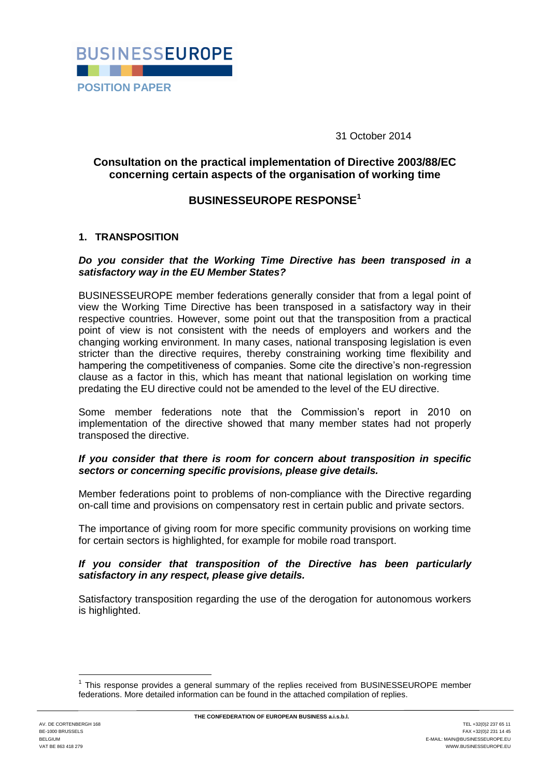

31 October 2014

# **Consultation on the practical implementation of Directive 2003/88/EC concerning certain aspects of the organisation of working time**

# **BUSINESSEUROPE RESPONSE<sup>1</sup>**

# **1. TRANSPOSITION**

#### *Do you consider that the Working Time Directive has been transposed in a satisfactory way in the EU Member States?*

BUSINESSEUROPE member federations generally consider that from a legal point of view the Working Time Directive has been transposed in a satisfactory way in their respective countries. However, some point out that the transposition from a practical point of view is not consistent with the needs of employers and workers and the changing working environment. In many cases, national transposing legislation is even stricter than the directive requires, thereby constraining working time flexibility and hampering the competitiveness of companies. Some cite the directive's non-regression clause as a factor in this, which has meant that national legislation on working time predating the EU directive could not be amended to the level of the EU directive.

Some member federations note that the Commission's report in 2010 on implementation of the directive showed that many member states had not properly transposed the directive.

# *If you consider that there is room for concern about transposition in specific sectors or concerning specific provisions, please give details.*

Member federations point to problems of non-compliance with the Directive regarding on-call time and provisions on compensatory rest in certain public and private sectors.

The importance of giving room for more specific community provisions on working time for certain sectors is highlighted, for example for mobile road transport.

#### *If you consider that transposition of the Directive has been particularly satisfactory in any respect, please give details.*

Satisfactory transposition regarding the use of the derogation for autonomous workers is highlighted.

1

<sup>1</sup> This response provides a general summary of the replies received from BUSINESSEUROPE member federations. More detailed information can be found in the attached compilation of replies.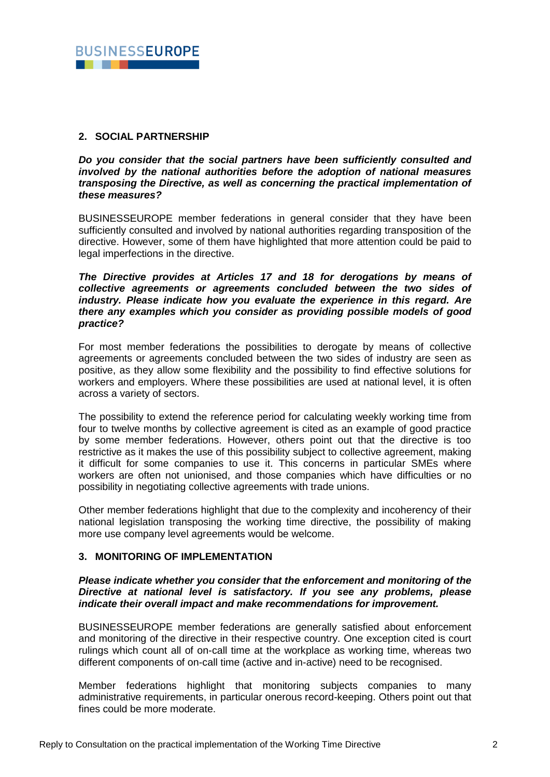

# **2. SOCIAL PARTNERSHIP**

*Do you consider that the social partners have been sufficiently consulted and involved by the national authorities before the adoption of national measures transposing the Directive, as well as concerning the practical implementation of these measures?*

BUSINESSEUROPE member federations in general consider that they have been sufficiently consulted and involved by national authorities regarding transposition of the directive. However, some of them have highlighted that more attention could be paid to legal imperfections in the directive.

#### *The Directive provides at Articles 17 and 18 for derogations by means of collective agreements or agreements concluded between the two sides of industry. Please indicate how you evaluate the experience in this regard. Are there any examples which you consider as providing possible models of good practice?*

For most member federations the possibilities to derogate by means of collective agreements or agreements concluded between the two sides of industry are seen as positive, as they allow some flexibility and the possibility to find effective solutions for workers and employers. Where these possibilities are used at national level, it is often across a variety of sectors.

The possibility to extend the reference period for calculating weekly working time from four to twelve months by collective agreement is cited as an example of good practice by some member federations. However, others point out that the directive is too restrictive as it makes the use of this possibility subject to collective agreement, making it difficult for some companies to use it. This concerns in particular SMEs where workers are often not unionised, and those companies which have difficulties or no possibility in negotiating collective agreements with trade unions.

Other member federations highlight that due to the complexity and incoherency of their national legislation transposing the working time directive, the possibility of making more use company level agreements would be welcome.

# **3. MONITORING OF IMPLEMENTATION**

#### *Please indicate whether you consider that the enforcement and monitoring of the Directive at national level is satisfactory. If you see any problems, please indicate their overall impact and make recommendations for improvement.*

BUSINESSEUROPE member federations are generally satisfied about enforcement and monitoring of the directive in their respective country. One exception cited is court rulings which count all of on-call time at the workplace as working time, whereas two different components of on-call time (active and in-active) need to be recognised.

Member federations highlight that monitoring subjects companies to many administrative requirements, in particular onerous record-keeping. Others point out that fines could be more moderate.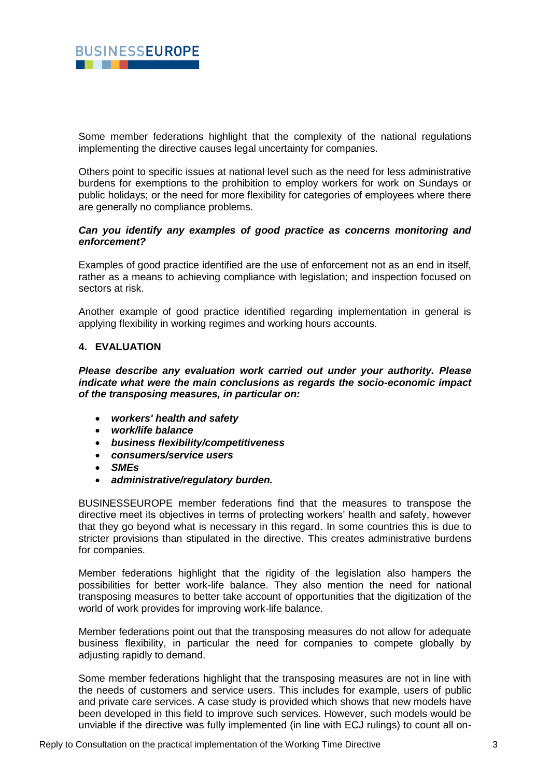

Some member federations highlight that the complexity of the national regulations implementing the directive causes legal uncertainty for companies.

Others point to specific issues at national level such as the need for less administrative burdens for exemptions to the prohibition to employ workers for work on Sundays or public holidays; or the need for more flexibility for categories of employees where there are generally no compliance problems.

### *Can you identify any examples of good practice as concerns monitoring and enforcement?*

Examples of good practice identified are the use of enforcement not as an end in itself, rather as a means to achieving compliance with legislation; and inspection focused on sectors at risk.

Another example of good practice identified regarding implementation in general is applying flexibility in working regimes and working hours accounts.

#### **4. EVALUATION**

*Please describe any evaluation work carried out under your authority. Please indicate what were the main conclusions as regards the socio-economic impact of the transposing measures, in particular on:*

- *workers' health and safety*
- *work/life balance*
- *business flexibility/competitiveness*
- *consumers/service users*
- *SMEs*
- *administrative/regulatory burden.*

BUSINESSEUROPE member federations find that the measures to transpose the directive meet its objectives in terms of protecting workers' health and safety, however that they go beyond what is necessary in this regard. In some countries this is due to stricter provisions than stipulated in the directive. This creates administrative burdens for companies.

Member federations highlight that the rigidity of the legislation also hampers the possibilities for better work-life balance. They also mention the need for national transposing measures to better take account of opportunities that the digitization of the world of work provides for improving work-life balance.

Member federations point out that the transposing measures do not allow for adequate business flexibility, in particular the need for companies to compete globally by adjusting rapidly to demand.

Some member federations highlight that the transposing measures are not in line with the needs of customers and service users. This includes for example, users of public and private care services. A case study is provided which shows that new models have been developed in this field to improve such services. However, such models would be unviable if the directive was fully implemented (in line with ECJ rulings) to count all on-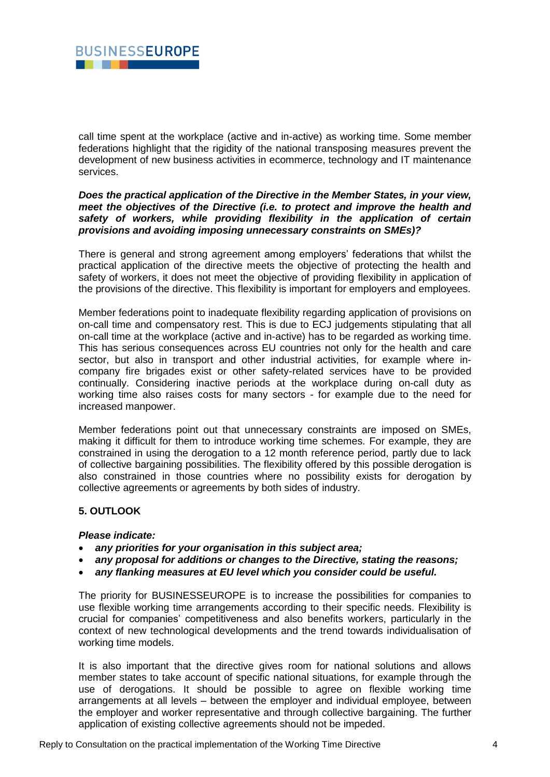

call time spent at the workplace (active and in-active) as working time. Some member federations highlight that the rigidity of the national transposing measures prevent the development of new business activities in ecommerce, technology and IT maintenance services.

#### *Does the practical application of the Directive in the Member States, in your view, meet the objectives of the Directive (i.e. to protect and improve the health and safety of workers, while providing flexibility in the application of certain provisions and avoiding imposing unnecessary constraints on SMEs)?*

There is general and strong agreement among employers' federations that whilst the practical application of the directive meets the objective of protecting the health and safety of workers, it does not meet the objective of providing flexibility in application of the provisions of the directive. This flexibility is important for employers and employees.

Member federations point to inadequate flexibility regarding application of provisions on on-call time and compensatory rest. This is due to ECJ judgements stipulating that all on-call time at the workplace (active and in-active) has to be regarded as working time. This has serious consequences across EU countries not only for the health and care sector, but also in transport and other industrial activities, for example where incompany fire brigades exist or other safety-related services have to be provided continually. Considering inactive periods at the workplace during on-call duty as working time also raises costs for many sectors - for example due to the need for increased manpower.

Member federations point out that unnecessary constraints are imposed on SMEs, making it difficult for them to introduce working time schemes. For example, they are constrained in using the derogation to a 12 month reference period, partly due to lack of collective bargaining possibilities. The flexibility offered by this possible derogation is also constrained in those countries where no possibility exists for derogation by collective agreements or agreements by both sides of industry.

# **5. OUTLOOK**

#### *Please indicate:*

- *any priorities for your organisation in this subject area;*
- *any proposal for additions or changes to the Directive, stating the reasons;*
- *any flanking measures at EU level which you consider could be useful.*

The priority for BUSINESSEUROPE is to increase the possibilities for companies to use flexible working time arrangements according to their specific needs. Flexibility is crucial for companies' competitiveness and also benefits workers, particularly in the context of new technological developments and the trend towards individualisation of working time models.

It is also important that the directive gives room for national solutions and allows member states to take account of specific national situations, for example through the use of derogations. It should be possible to agree on flexible working time arrangements at all levels – between the employer and individual employee, between the employer and worker representative and through collective bargaining. The further application of existing collective agreements should not be impeded.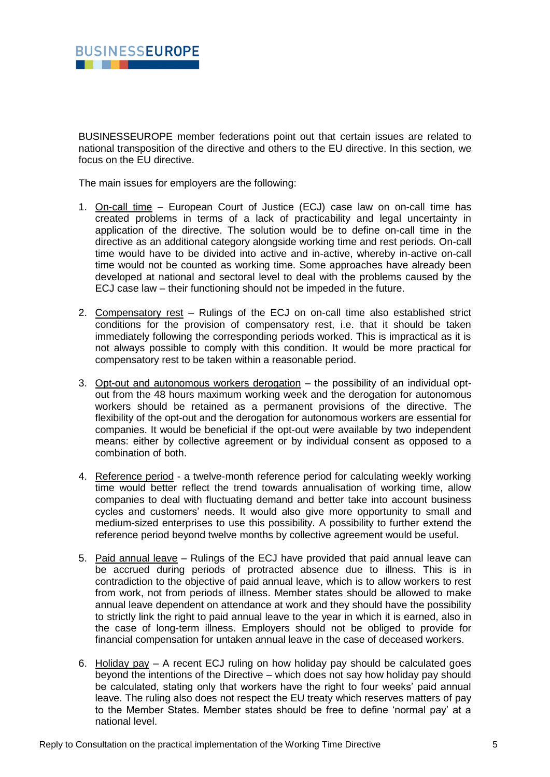

BUSINESSEUROPE member federations point out that certain issues are related to national transposition of the directive and others to the EU directive. In this section, we focus on the EU directive.

The main issues for employers are the following:

- 1. On-call time European Court of Justice (ECJ) case law on on-call time has created problems in terms of a lack of practicability and legal uncertainty in application of the directive. The solution would be to define on-call time in the directive as an additional category alongside working time and rest periods. On-call time would have to be divided into active and in-active, whereby in-active on-call time would not be counted as working time. Some approaches have already been developed at national and sectoral level to deal with the problems caused by the ECJ case law – their functioning should not be impeded in the future.
- 2. Compensatory rest Rulings of the ECJ on on-call time also established strict conditions for the provision of compensatory rest, i.e. that it should be taken immediately following the corresponding periods worked. This is impractical as it is not always possible to comply with this condition. It would be more practical for compensatory rest to be taken within a reasonable period.
- 3. Opt-out and autonomous workers derogation the possibility of an individual optout from the 48 hours maximum working week and the derogation for autonomous workers should be retained as a permanent provisions of the directive. The flexibility of the opt-out and the derogation for autonomous workers are essential for companies. It would be beneficial if the opt-out were available by two independent means: either by collective agreement or by individual consent as opposed to a combination of both.
- 4. Reference period a twelve-month reference period for calculating weekly working time would better reflect the trend towards annualisation of working time, allow companies to deal with fluctuating demand and better take into account business cycles and customers' needs. It would also give more opportunity to small and medium-sized enterprises to use this possibility. A possibility to further extend the reference period beyond twelve months by collective agreement would be useful.
- 5. Paid annual leave Rulings of the ECJ have provided that paid annual leave can be accrued during periods of protracted absence due to illness. This is in contradiction to the objective of paid annual leave, which is to allow workers to rest from work, not from periods of illness. Member states should be allowed to make annual leave dependent on attendance at work and they should have the possibility to strictly link the right to paid annual leave to the year in which it is earned, also in the case of long-term illness. Employers should not be obliged to provide for financial compensation for untaken annual leave in the case of deceased workers.
- 6. Holiday pay A recent ECJ ruling on how holiday pay should be calculated goes beyond the intentions of the Directive – which does not say how holiday pay should be calculated, stating only that workers have the right to four weeks' paid annual leave. The ruling also does not respect the EU treaty which reserves matters of pay to the Member States. Member states should be free to define 'normal pay' at a national level.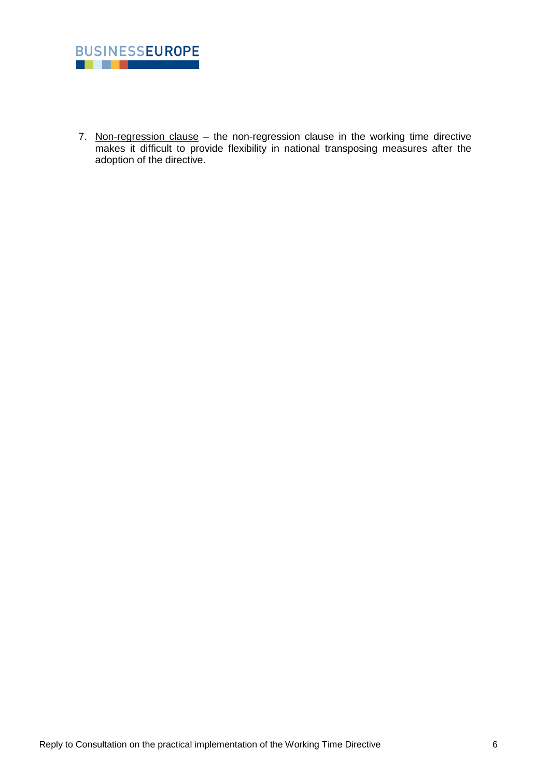

7. Non-regression clause - the non-regression clause in the working time directive makes it difficult to provide flexibility in national transposing measures after the adoption of the directive.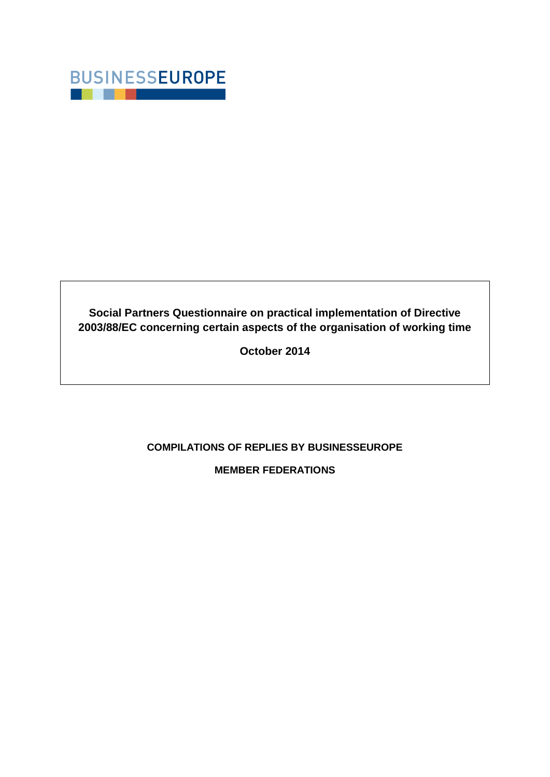

**Social Partners Questionnaire on practical implementation of Directive 2003/88/EC concerning certain aspects of the organisation of working time**

**October 2014**

# **COMPILATIONS OF REPLIES BY BUSINESSEUROPE**

**MEMBER FEDERATIONS**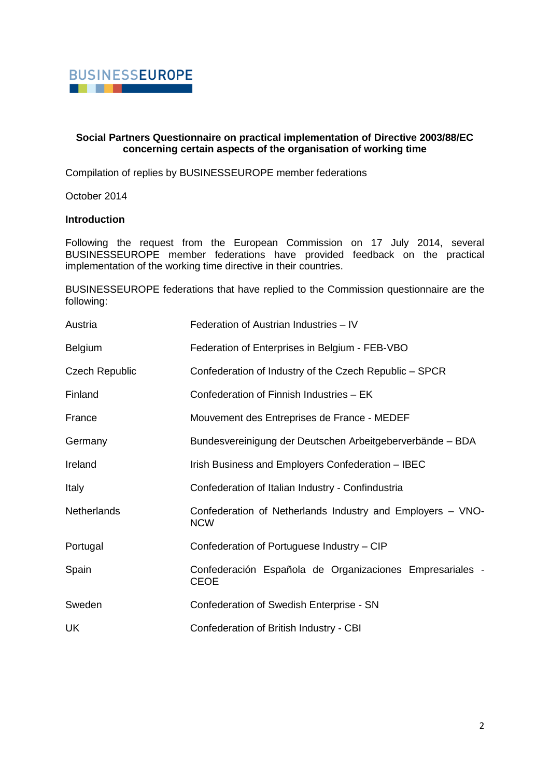

#### **Social Partners Questionnaire on practical implementation of Directive 2003/88/EC concerning certain aspects of the organisation of working time**

Compilation of replies by BUSINESSEUROPE member federations

October 2014

# **Introduction**

Following the request from the European Commission on 17 July 2014, several BUSINESSEUROPE member federations have provided feedback on the practical implementation of the working time directive in their countries.

BUSINESSEUROPE federations that have replied to the Commission questionnaire are the following:

| Austria               | Federation of Austrian Industries - IV                                   |
|-----------------------|--------------------------------------------------------------------------|
| <b>Belgium</b>        | Federation of Enterprises in Belgium - FEB-VBO                           |
| <b>Czech Republic</b> | Confederation of Industry of the Czech Republic - SPCR                   |
| Finland               | Confederation of Finnish Industries - EK                                 |
| France                | Mouvement des Entreprises de France - MEDEF                              |
| Germany               | Bundesvereinigung der Deutschen Arbeitgeberverbände - BDA                |
| Ireland               | Irish Business and Employers Confederation - IBEC                        |
| Italy                 | Confederation of Italian Industry - Confindustria                        |
| <b>Netherlands</b>    | Confederation of Netherlands Industry and Employers - VNO-<br><b>NCW</b> |
| Portugal              | Confederation of Portuguese Industry - CIP                               |
| Spain                 | Confederación Española de Organizaciones Empresariales -<br><b>CEOE</b>  |
| Sweden                | Confederation of Swedish Enterprise - SN                                 |
|                       |                                                                          |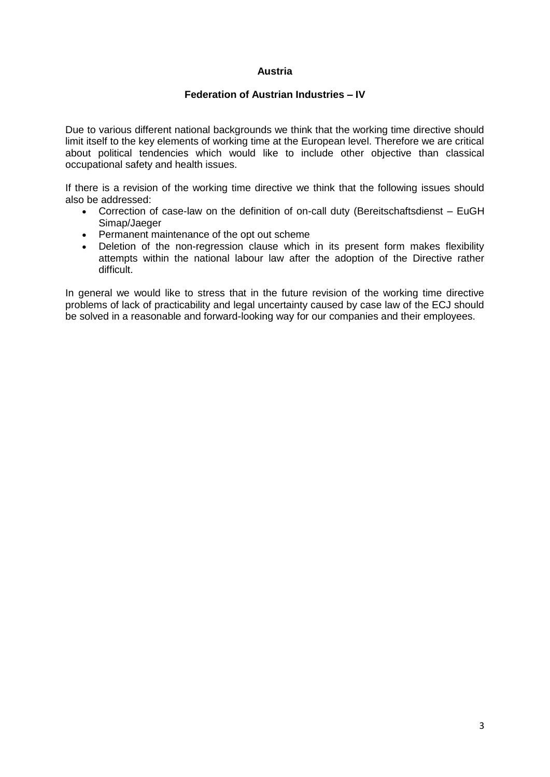# **Austria**

### **Federation of Austrian Industries – IV**

Due to various different national backgrounds we think that the working time directive should limit itself to the key elements of working time at the European level. Therefore we are critical about political tendencies which would like to include other objective than classical occupational safety and health issues.

If there is a revision of the working time directive we think that the following issues should also be addressed:

- Correction of case-law on the definition of on-call duty (Bereitschaftsdienst EuGH Simap/Jaeger
- Permanent maintenance of the opt out scheme
- Deletion of the non-regression clause which in its present form makes flexibility attempts within the national labour law after the adoption of the Directive rather difficult.

In general we would like to stress that in the future revision of the working time directive problems of lack of practicability and legal uncertainty caused by case law of the ECJ should be solved in a reasonable and forward-looking way for our companies and their employees.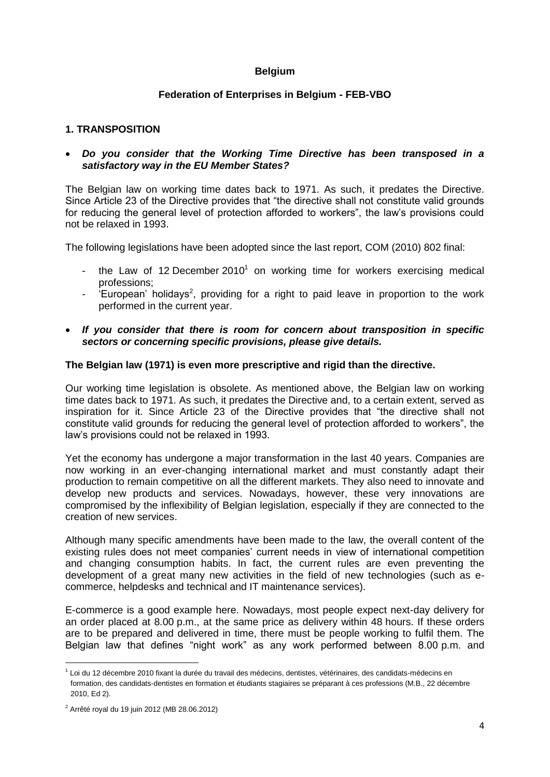# **Belgium**

# **Federation of Enterprises in Belgium - FEB-VBO**

# **1. TRANSPOSITION**

# *Do you consider that the Working Time Directive has been transposed in a satisfactory way in the EU Member States?*

The Belgian law on working time dates back to 1971. As such, it predates the Directive. Since Article 23 of the Directive provides that "the directive shall not constitute valid grounds for reducing the general level of protection afforded to workers", the law"s provisions could not be relaxed in 1993.

The following legislations have been adopted since the last report, COM (2010) 802 final:

- the Law of 12 December 2010<sup>1</sup> on working time for workers exercising medical professions;
- 'European' holidays<sup>2</sup>, providing for a right to paid leave in proportion to the work performed in the current year.
- *If you consider that there is room for concern about transposition in specific sectors or concerning specific provisions, please give details.*

# **The Belgian law (1971) is even more prescriptive and rigid than the directive.**

Our working time legislation is obsolete. As mentioned above, the Belgian law on working time dates back to 1971. As such, it predates the Directive and, to a certain extent, served as inspiration for it. Since Article 23 of the Directive provides that "the directive shall not constitute valid grounds for reducing the general level of protection afforded to workers", the law"s provisions could not be relaxed in 1993.

Yet the economy has undergone a major transformation in the last 40 years. Companies are now working in an ever-changing international market and must constantly adapt their production to remain competitive on all the different markets. They also need to innovate and develop new products and services. Nowadays, however, these very innovations are compromised by the inflexibility of Belgian legislation, especially if they are connected to the creation of new services.

Although many specific amendments have been made to the law, the overall content of the existing rules does not meet companies" current needs in view of international competition and changing consumption habits. In fact, the current rules are even preventing the development of a great many new activities in the field of new technologies (such as ecommerce, helpdesks and technical and IT maintenance services).

E-commerce is a good example here. Nowadays, most people expect next-day delivery for an order placed at 8.00 p.m., at the same price as delivery within 48 hours. If these orders are to be prepared and delivered in time, there must be people working to fulfil them. The Belgian law that defines "night work" as any work performed between 8.00 p.m. and

**.** 

<sup>1</sup> Loi du 12 décembre 2010 fixant la durée du travail des médecins, dentistes, vétérinaires, des candidats-médecins en formation, des candidats-dentistes en formation et étudiants stagiaires se préparant à ces professions (M.B., 22 décembre 2010, Ed 2).

 $2^{2}$  Arrêté royal du 19 juin 2012 (MB 28.06.2012)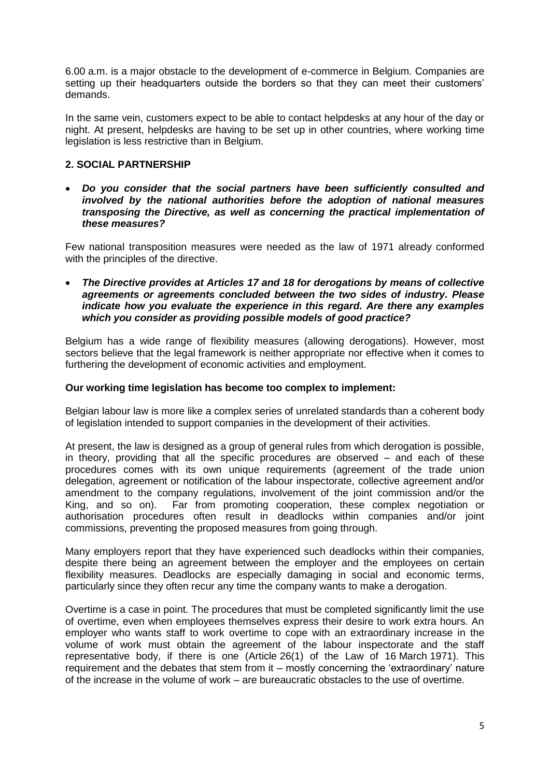6.00 a.m. is a major obstacle to the development of e-commerce in Belgium. Companies are setting up their headquarters outside the borders so that they can meet their customers' demands.

In the same vein, customers expect to be able to contact helpdesks at any hour of the day or night. At present, helpdesks are having to be set up in other countries, where working time legislation is less restrictive than in Belgium.

# **2. SOCIAL PARTNERSHIP**

 *Do you consider that the social partners have been sufficiently consulted and involved by the national authorities before the adoption of national measures transposing the Directive, as well as concerning the practical implementation of these measures?*

Few national transposition measures were needed as the law of 1971 already conformed with the principles of the directive.

 *The Directive provides at Articles 17 and 18 for derogations by means of collective agreements or agreements concluded between the two sides of industry. Please indicate how you evaluate the experience in this regard. Are there any examples which you consider as providing possible models of good practice?*

Belgium has a wide range of flexibility measures (allowing derogations). However, most sectors believe that the legal framework is neither appropriate nor effective when it comes to furthering the development of economic activities and employment.

# **Our working time legislation has become too complex to implement:**

Belgian labour law is more like a complex series of unrelated standards than a coherent body of legislation intended to support companies in the development of their activities.

At present, the law is designed as a group of general rules from which derogation is possible, in theory, providing that all the specific procedures are observed – and each of these procedures comes with its own unique requirements (agreement of the trade union delegation, agreement or notification of the labour inspectorate, collective agreement and/or amendment to the company regulations, involvement of the joint commission and/or the King, and so on). Far from promoting cooperation, these complex negotiation or authorisation procedures often result in deadlocks within companies and/or joint commissions, preventing the proposed measures from going through.

Many employers report that they have experienced such deadlocks within their companies, despite there being an agreement between the employer and the employees on certain flexibility measures. Deadlocks are especially damaging in social and economic terms, particularly since they often recur any time the company wants to make a derogation.

Overtime is a case in point. The procedures that must be completed significantly limit the use of overtime, even when employees themselves express their desire to work extra hours. An employer who wants staff to work overtime to cope with an extraordinary increase in the volume of work must obtain the agreement of the labour inspectorate and the staff representative body, if there is one (Article 26(1) of the Law of 16 March 1971). This requirement and the debates that stem from it – mostly concerning the "extraordinary" nature of the increase in the volume of work – are bureaucratic obstacles to the use of overtime.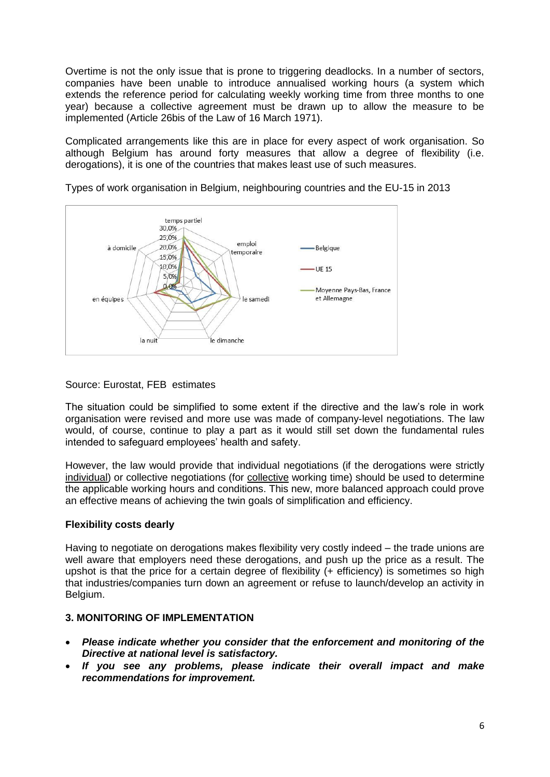Overtime is not the only issue that is prone to triggering deadlocks. In a number of sectors, companies have been unable to introduce annualised working hours (a system which extends the reference period for calculating weekly working time from three months to one year) because a collective agreement must be drawn up to allow the measure to be implemented (Article 26bis of the Law of 16 March 1971).

Complicated arrangements like this are in place for every aspect of work organisation. So although Belgium has around forty measures that allow a degree of flexibility (i.e. derogations), it is one of the countries that makes least use of such measures.



Types of work organisation in Belgium, neighbouring countries and the EU-15 in 2013

# Source: Eurostat, FEB estimates

The situation could be simplified to some extent if the directive and the law"s role in work organisation were revised and more use was made of company-level negotiations. The law would, of course, continue to play a part as it would still set down the fundamental rules intended to safeguard employees' health and safety.

However, the law would provide that individual negotiations (if the derogations were strictly individual) or collective negotiations (for collective working time) should be used to determine the applicable working hours and conditions. This new, more balanced approach could prove an effective means of achieving the twin goals of simplification and efficiency.

# **Flexibility costs dearly**

Having to negotiate on derogations makes flexibility very costly indeed – the trade unions are well aware that employers need these derogations, and push up the price as a result. The upshot is that the price for a certain degree of flexibility (+ efficiency) is sometimes so high that industries/companies turn down an agreement or refuse to launch/develop an activity in Belgium.

# **3. MONITORING OF IMPLEMENTATION**

- *Please indicate whether you consider that the enforcement and monitoring of the Directive at national level is satisfactory.*
- *If you see any problems, please indicate their overall impact and make recommendations for improvement.*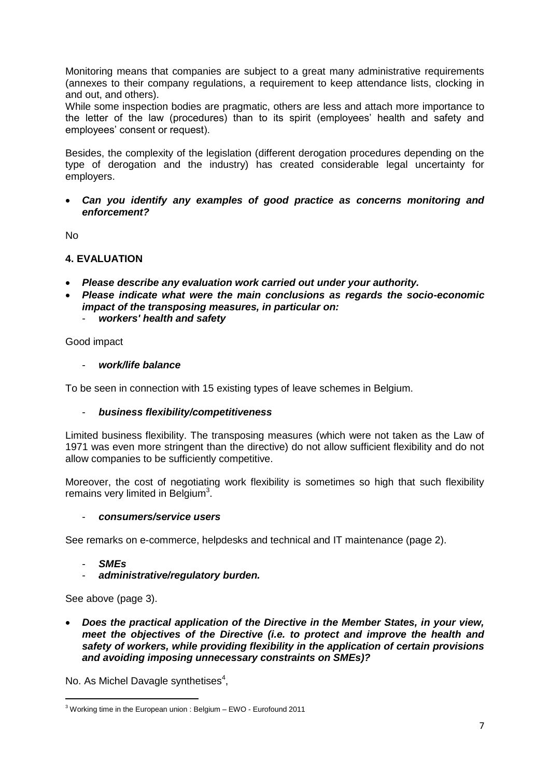Monitoring means that companies are subject to a great many administrative requirements (annexes to their company regulations, a requirement to keep attendance lists, clocking in and out, and others).

While some inspection bodies are pragmatic, others are less and attach more importance to the letter of the law (procedures) than to its spirit (employees" health and safety and employees' consent or request).

Besides, the complexity of the legislation (different derogation procedures depending on the type of derogation and the industry) has created considerable legal uncertainty for employers.

 *Can you identify any examples of good practice as concerns monitoring and enforcement?*

No

# **4. EVALUATION**

- *Please describe any evaluation work carried out under your authority.*
- *Please indicate what were the main conclusions as regards the socio-economic impact of the transposing measures, in particular on:*
	- *workers' health and safety*

Good impact

- *work/life balance*

To be seen in connection with 15 existing types of leave schemes in Belgium.

- *business flexibility/competitiveness*

Limited business flexibility. The transposing measures (which were not taken as the Law of 1971 was even more stringent than the directive) do not allow sufficient flexibility and do not allow companies to be sufficiently competitive.

Moreover, the cost of negotiating work flexibility is sometimes so high that such flexibility remains very limited in Belgium<sup>3</sup>.

- *consumers/service users*

See remarks on e-commerce, helpdesks and technical and IT maintenance (page 2).

- *SMEs*

**.** 

- *administrative/regulatory burden.*

See above (page 3).

 *Does the practical application of the Directive in the Member States, in your view, meet the objectives of the Directive (i.e. to protect and improve the health and safety of workers, while providing flexibility in the application of certain provisions and avoiding imposing unnecessary constraints on SMEs)?*

No. As Michel Davagle synthetises<sup>4</sup>,

<sup>3</sup> Working time in the European union : Belgium – EWO - Eurofound 2011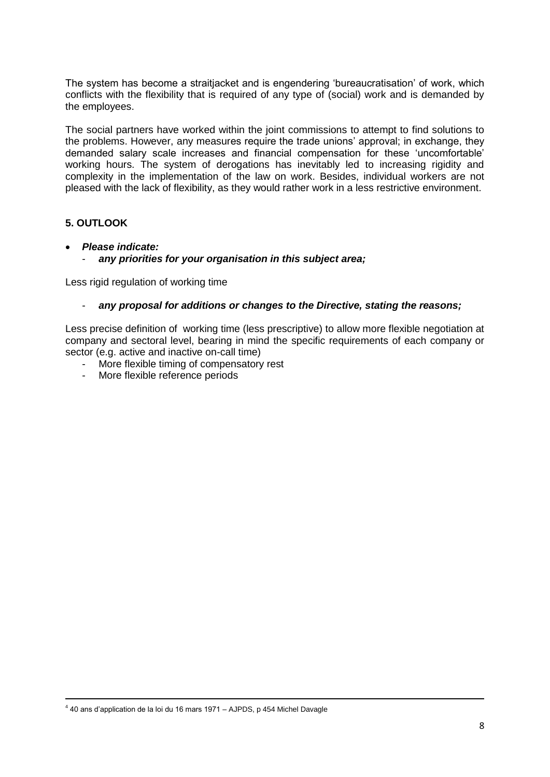The system has become a straitjacket and is engendering "bureaucratisation" of work, which conflicts with the flexibility that is required of any type of (social) work and is demanded by the employees.

The social partners have worked within the joint commissions to attempt to find solutions to the problems. However, any measures require the trade unions' approval; in exchange, they demanded salary scale increases and financial compensation for these "uncomfortable" working hours. The system of derogations has inevitably led to increasing rigidity and complexity in the implementation of the law on work. Besides, individual workers are not pleased with the lack of flexibility, as they would rather work in a less restrictive environment.

# **5. OUTLOOK**

 $\overline{a}$ 

- *Please indicate:*
	- any priorities for your organisation in this subject area;

Less rigid regulation of working time

# - *any proposal for additions or changes to the Directive, stating the reasons;*

Less precise definition of working time (less prescriptive) to allow more flexible negotiation at company and sectoral level, bearing in mind the specific requirements of each company or sector (e.g. active and inactive on-call time)

- More flexible timing of compensatory rest
- More flexible reference periods

<sup>&</sup>lt;sup>4</sup> 40 ans d'application de la loi du 16 mars 1971 – AJPDS, p 454 Michel Davagle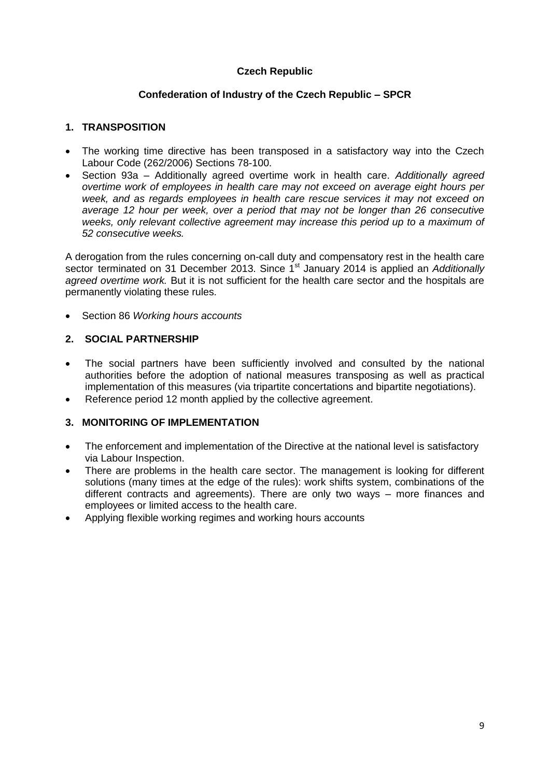# **Czech Republic**

# **Confederation of Industry of the Czech Republic – SPCR**

# **1. TRANSPOSITION**

- The working time directive has been transposed in a satisfactory way into the Czech Labour Code (262/2006) Sections 78-100.
- Section 93a Additionally agreed overtime work in health care. *Additionally agreed overtime work of employees in health care may not exceed on average eight hours per week, and as regards employees in health care rescue services it may not exceed on average 12 hour per week, over a period that may not be longer than 26 consecutive weeks, only relevant collective agreement may increase this period up to a maximum of 52 consecutive weeks.*

A derogation from the rules concerning on-call duty and compensatory rest in the health care sector terminated on 31 December 2013. Since 1<sup>st</sup> January 2014 is applied an *Additionally agreed overtime work.* But it is not sufficient for the health care sector and the hospitals are permanently violating these rules.

Section 86 *Working hours accounts*

# **2. SOCIAL PARTNERSHIP**

- The social partners have been sufficiently involved and consulted by the national authorities before the adoption of national measures transposing as well as practical implementation of this measures (via tripartite concertations and bipartite negotiations).
- Reference period 12 month applied by the collective agreement.

# **3. MONITORING OF IMPLEMENTATION**

- The enforcement and implementation of the Directive at the national level is satisfactory via Labour Inspection.
- There are problems in the health care sector. The management is looking for different solutions (many times at the edge of the rules): work shifts system, combinations of the different contracts and agreements). There are only two ways – more finances and employees or limited access to the health care.
- Applying flexible working regimes and working hours accounts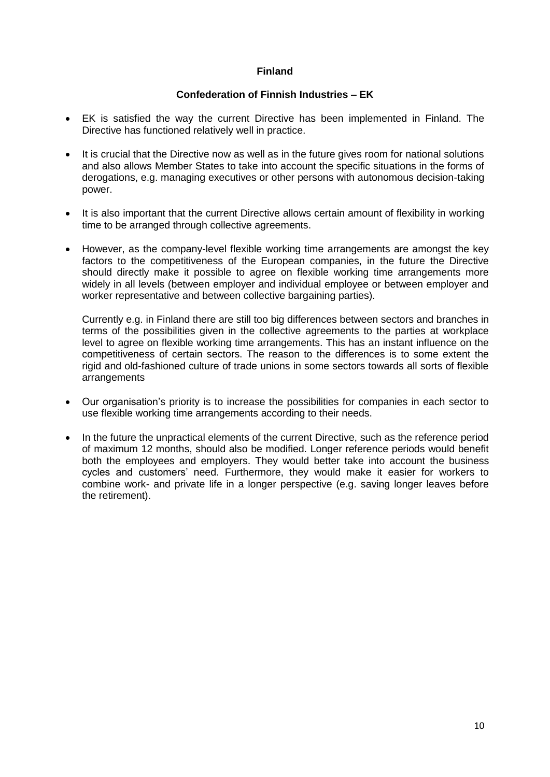# **Finland**

# **Confederation of Finnish Industries – EK**

- EK is satisfied the way the current Directive has been implemented in Finland. The Directive has functioned relatively well in practice.
- It is crucial that the Directive now as well as in the future gives room for national solutions and also allows Member States to take into account the specific situations in the forms of derogations, e.g. managing executives or other persons with autonomous decision-taking power.
- It is also important that the current Directive allows certain amount of flexibility in working time to be arranged through collective agreements.
- However, as the company-level flexible working time arrangements are amongst the key factors to the competitiveness of the European companies, in the future the Directive should directly make it possible to agree on flexible working time arrangements more widely in all levels (between employer and individual employee or between employer and worker representative and between collective bargaining parties).

Currently e.g. in Finland there are still too big differences between sectors and branches in terms of the possibilities given in the collective agreements to the parties at workplace level to agree on flexible working time arrangements. This has an instant influence on the competitiveness of certain sectors. The reason to the differences is to some extent the rigid and old-fashioned culture of trade unions in some sectors towards all sorts of flexible arrangements

- Our organisation"s priority is to increase the possibilities for companies in each sector to use flexible working time arrangements according to their needs.
- In the future the unpractical elements of the current Directive, such as the reference period of maximum 12 months, should also be modified. Longer reference periods would benefit both the employees and employers. They would better take into account the business cycles and customers" need. Furthermore, they would make it easier for workers to combine work- and private life in a longer perspective (e.g. saving longer leaves before the retirement).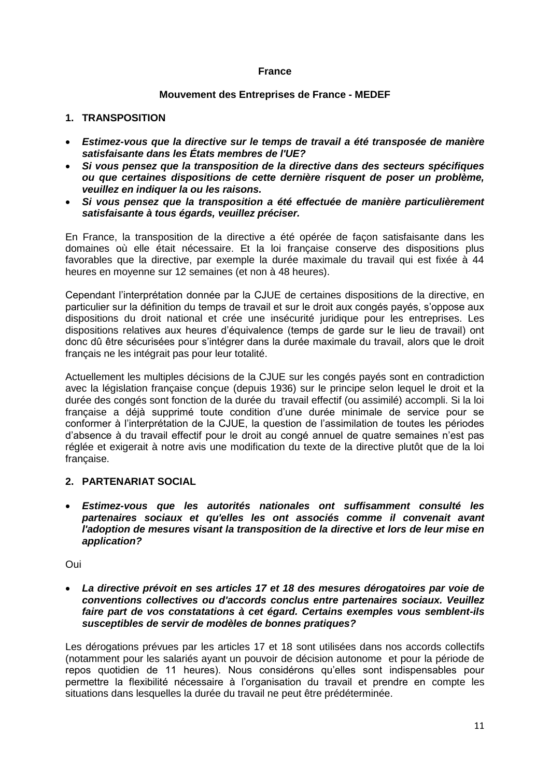## **France**

#### **Mouvement des Entreprises de France - MEDEF**

### **1. TRANSPOSITION**

- *Estimez-vous que la directive sur le temps de travail a été transposée de manière satisfaisante dans les États membres de l'UE?*
- *Si vous pensez que la transposition de la directive dans des secteurs spécifiques ou que certaines dispositions de cette dernière risquent de poser un problème, veuillez en indiquer la ou les raisons.*
- *Si vous pensez que la transposition a été effectuée de manière particulièrement satisfaisante à tous égards, veuillez préciser.*

En France, la transposition de la directive a été opérée de façon satisfaisante dans les domaines où elle était nécessaire. Et la loi française conserve des dispositions plus favorables que la directive, par exemple la durée maximale du travail qui est fixée à 44 heures en moyenne sur 12 semaines (et non à 48 heures).

Cependant l"interprétation donnée par la CJUE de certaines dispositions de la directive, en particulier sur la définition du temps de travail et sur le droit aux congés payés, s"oppose aux dispositions du droit national et crée une insécurité juridique pour les entreprises. Les dispositions relatives aux heures d"équivalence (temps de garde sur le lieu de travail) ont donc dû être sécurisées pour s"intégrer dans la durée maximale du travail, alors que le droit français ne les intégrait pas pour leur totalité.

Actuellement les multiples décisions de la CJUE sur les congés payés sont en contradiction avec la législation française conçue (depuis 1936) sur le principe selon lequel le droit et la durée des congés sont fonction de la durée du travail effectif (ou assimilé) accompli. Si la loi française a déjà supprimé toute condition d"une durée minimale de service pour se conformer à l"interprétation de la CJUE, la question de l"assimilation de toutes les périodes d"absence à du travail effectif pour le droit au congé annuel de quatre semaines n"est pas réglée et exigerait à notre avis une modification du texte de la directive plutôt que de la loi française.

# **2. PARTENARIAT SOCIAL**

 *Estimez-vous que les autorités nationales ont suffisamment consulté les partenaires sociaux et qu'elles les ont associés comme il convenait avant l'adoption de mesures visant la transposition de la directive et lors de leur mise en application?*

Oui

 *La directive prévoit en ses articles 17 et 18 des mesures dérogatoires par voie de conventions collectives ou d'accords conclus entre partenaires sociaux. Veuillez faire part de vos constatations à cet égard. Certains exemples vous semblent-ils susceptibles de servir de modèles de bonnes pratiques?*

Les dérogations prévues par les articles 17 et 18 sont utilisées dans nos accords collectifs (notamment pour les salariés ayant un pouvoir de décision autonome et pour la période de repos quotidien de 11 heures). Nous considérons qu"elles sont indispensables pour permettre la flexibilité nécessaire à l"organisation du travail et prendre en compte les situations dans lesquelles la durée du travail ne peut être prédéterminée.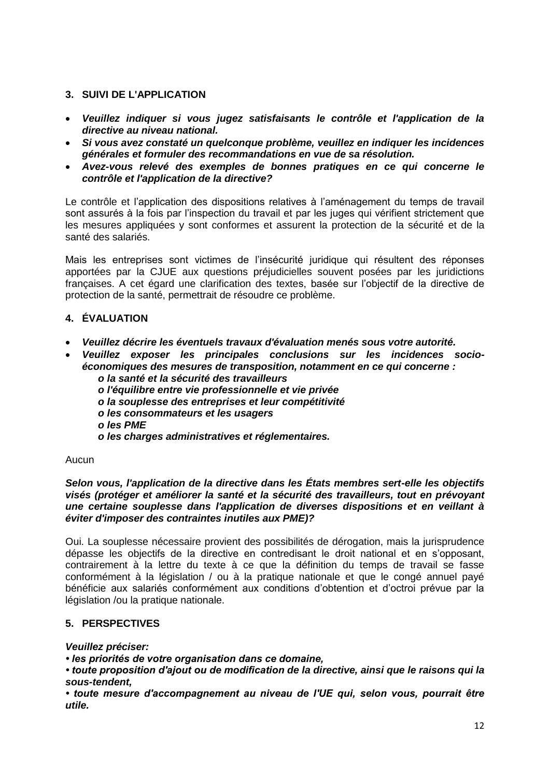# **3. SUIVI DE L'APPLICATION**

- *Veuillez indiquer si vous jugez satisfaisants le contrôle et l'application de la directive au niveau national.*
- *Si vous avez constaté un quelconque problème, veuillez en indiquer les incidences générales et formuler des recommandations en vue de sa résolution.*
- *Avez-vous relevé des exemples de bonnes pratiques en ce qui concerne le contrôle et l'application de la directive?*

Le contrôle et l"application des dispositions relatives à l"aménagement du temps de travail sont assurés à la fois par l"inspection du travail et par les juges qui vérifient strictement que les mesures appliquées y sont conformes et assurent la protection de la sécurité et de la santé des salariés.

Mais les entreprises sont victimes de l"insécurité juridique qui résultent des réponses apportées par la CJUE aux questions préjudicielles souvent posées par les juridictions françaises. A cet égard une clarification des textes, basée sur l"objectif de la directive de protection de la santé, permettrait de résoudre ce problème.

# **4. ÉVALUATION**

- *Veuillez décrire les éventuels travaux d'évaluation menés sous votre autorité.*
- *Veuillez exposer les principales conclusions sur les incidences socioéconomiques des mesures de transposition, notamment en ce qui concerne :*
	- *o la santé et la sécurité des travailleurs*
	- *o l'équilibre entre vie professionnelle et vie privée*
	- *o la souplesse des entreprises et leur compétitivité*
	- *o les consommateurs et les usagers*
	- *o les PME*
	- *o les charges administratives et réglementaires.*

#### Aucun

#### *Selon vous, l'application de la directive dans les États membres sert-elle les objectifs visés (protéger et améliorer la santé et la sécurité des travailleurs, tout en prévoyant une certaine souplesse dans l'application de diverses dispositions et en veillant à éviter d'imposer des contraintes inutiles aux PME)?*

Oui. La souplesse nécessaire provient des possibilités de dérogation, mais la jurisprudence dépasse les objectifs de la directive en contredisant le droit national et en s"opposant, contrairement à la lettre du texte à ce que la définition du temps de travail se fasse conformément à la législation / ou à la pratique nationale et que le congé annuel payé bénéficie aux salariés conformément aux conditions d"obtention et d"octroi prévue par la législation /ou la pratique nationale.

# **5. PERSPECTIVES**

#### *Veuillez préciser:*

- *les priorités de votre organisation dans ce domaine,*
- *toute proposition d'ajout ou de modification de la directive, ainsi que le raisons qui la sous-tendent,*

*• toute mesure d'accompagnement au niveau de l'UE qui, selon vous, pourrait être utile.*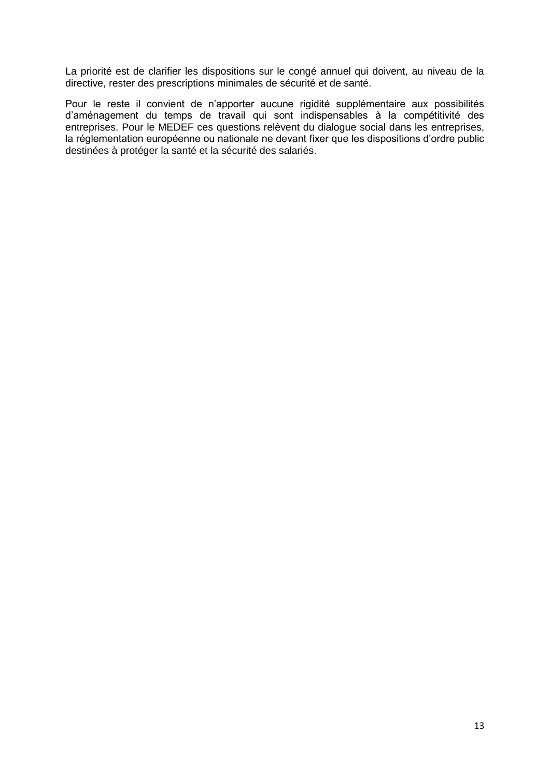La priorité est de clarifier les dispositions sur le congé annuel qui doivent, au niveau de la directive, rester des prescriptions minimales de sécurité et de santé.

Pour le reste il convient de n"apporter aucune rigidité supplémentaire aux possibilités d"aménagement du temps de travail qui sont indispensables à la compétitivité des entreprises. Pour le MEDEF ces questions relèvent du dialogue social dans les entreprises, la réglementation européenne ou nationale ne devant fixer que les dispositions d"ordre public destinées à protéger la santé et la sécurité des salariés.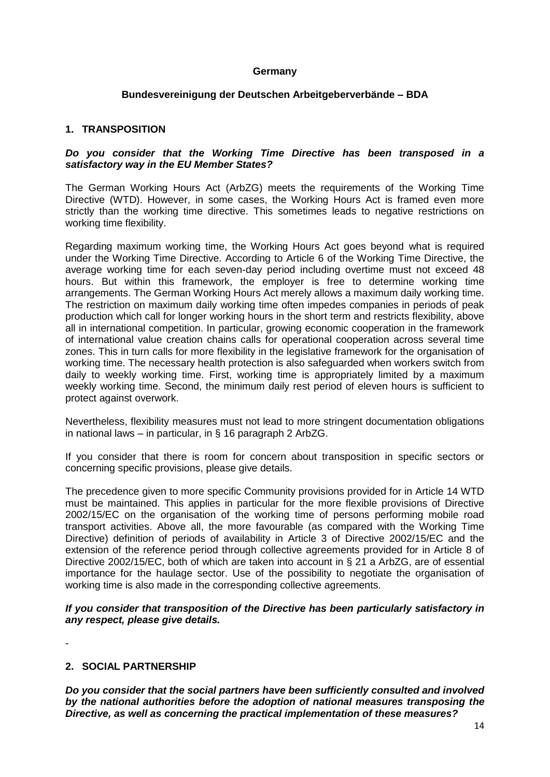## **Germany**

### **Bundesvereinigung der Deutschen Arbeitgeberverbände – BDA**

### **1. TRANSPOSITION**

#### *Do you consider that the Working Time Directive has been transposed in a satisfactory way in the EU Member States?*

The German Working Hours Act (ArbZG) meets the requirements of the Working Time Directive (WTD). However, in some cases, the Working Hours Act is framed even more strictly than the working time directive. This sometimes leads to negative restrictions on working time flexibility.

Regarding maximum working time, the Working Hours Act goes beyond what is required under the Working Time Directive. According to Article 6 of the Working Time Directive, the average working time for each seven-day period including overtime must not exceed 48 hours. But within this framework, the employer is free to determine working time arrangements. The German Working Hours Act merely allows a maximum daily working time. The restriction on maximum daily working time often impedes companies in periods of peak production which call for longer working hours in the short term and restricts flexibility, above all in international competition. In particular, growing economic cooperation in the framework of international value creation chains calls for operational cooperation across several time zones. This in turn calls for more flexibility in the legislative framework for the organisation of working time. The necessary health protection is also safeguarded when workers switch from daily to weekly working time. First, working time is appropriately limited by a maximum weekly working time. Second, the minimum daily rest period of eleven hours is sufficient to protect against overwork.

Nevertheless, flexibility measures must not lead to more stringent documentation obligations in national laws – in particular, in § 16 paragraph 2 ArbZG.

If you consider that there is room for concern about transposition in specific sectors or concerning specific provisions, please give details.

The precedence given to more specific Community provisions provided for in Article 14 WTD must be maintained. This applies in particular for the more flexible provisions of Directive 2002/15/EC on the organisation of the working time of persons performing mobile road transport activities. Above all, the more favourable (as compared with the Working Time Directive) definition of periods of availability in Article 3 of Directive 2002/15/EC and the extension of the reference period through collective agreements provided for in Article 8 of Directive 2002/15/EC, both of which are taken into account in § 21 a ArbZG, are of essential importance for the haulage sector. Use of the possibility to negotiate the organisation of working time is also made in the corresponding collective agreements.

*If you consider that transposition of the Directive has been particularly satisfactory in any respect, please give details.*

-

# **2. SOCIAL PARTNERSHIP**

*Do you consider that the social partners have been sufficiently consulted and involved by the national authorities before the adoption of national measures transposing the Directive, as well as concerning the practical implementation of these measures?*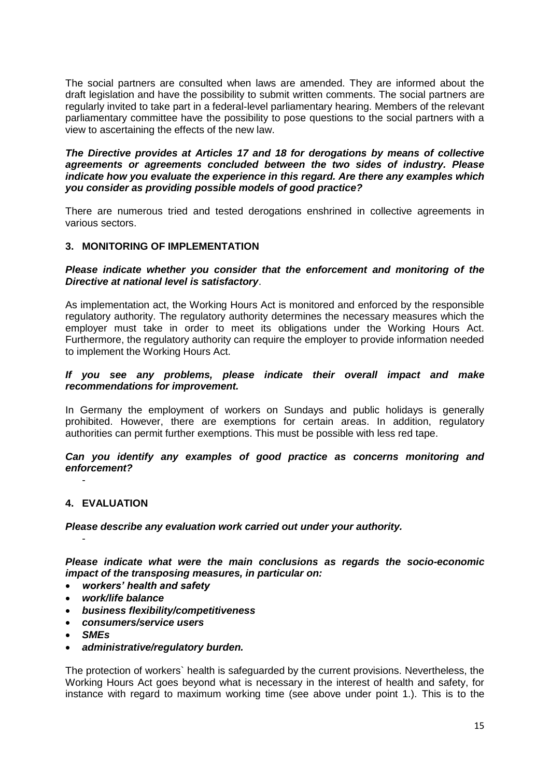The social partners are consulted when laws are amended. They are informed about the draft legislation and have the possibility to submit written comments. The social partners are regularly invited to take part in a federal-level parliamentary hearing. Members of the relevant parliamentary committee have the possibility to pose questions to the social partners with a view to ascertaining the effects of the new law.

#### *The Directive provides at Articles 17 and 18 for derogations by means of collective agreements or agreements concluded between the two sides of industry. Please indicate how you evaluate the experience in this regard. Are there any examples which you consider as providing possible models of good practice?*

There are numerous tried and tested derogations enshrined in collective agreements in various sectors.

# **3. MONITORING OF IMPLEMENTATION**

#### *Please indicate whether you consider that the enforcement and monitoring of the Directive at national level is satisfactory*.

As implementation act, the Working Hours Act is monitored and enforced by the responsible regulatory authority. The regulatory authority determines the necessary measures which the employer must take in order to meet its obligations under the Working Hours Act. Furthermore, the regulatory authority can require the employer to provide information needed to implement the Working Hours Act.

#### *If you see any problems, please indicate their overall impact and make recommendations for improvement.*

In Germany the employment of workers on Sundays and public holidays is generally prohibited. However, there are exemptions for certain areas. In addition, regulatory authorities can permit further exemptions. This must be possible with less red tape.

*Can you identify any examples of good practice as concerns monitoring and enforcement?* 

#### **4. EVALUATION**

-

-

*Please describe any evaluation work carried out under your authority.*

*Please indicate what were the main conclusions as regards the socio-economic impact of the transposing measures, in particular on:*

- *workers' health and safety*
- *work/life balance*
- *business flexibility/competitiveness*
- *consumers/service users*
- *SMEs*
- *administrative/regulatory burden.*

The protection of workers` health is safeguarded by the current provisions. Nevertheless, the Working Hours Act goes beyond what is necessary in the interest of health and safety, for instance with regard to maximum working time (see above under point 1.). This is to the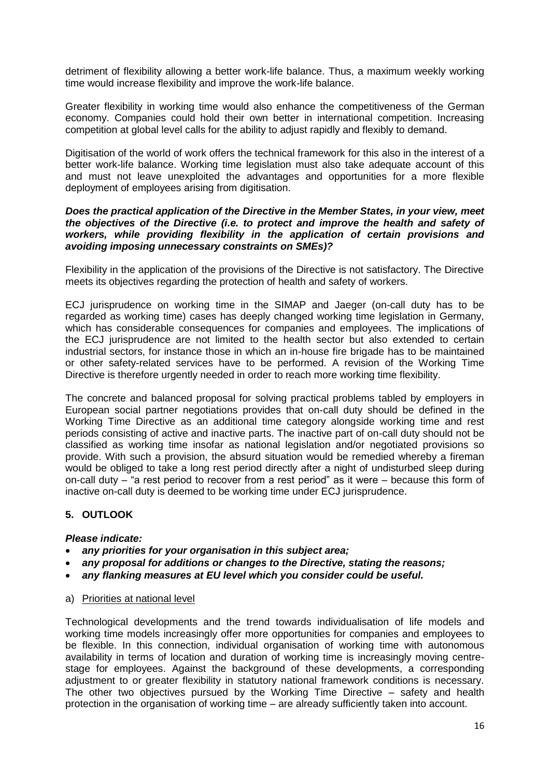detriment of flexibility allowing a better work-life balance. Thus, a maximum weekly working time would increase flexibility and improve the work-life balance.

Greater flexibility in working time would also enhance the competitiveness of the German economy. Companies could hold their own better in international competition. Increasing competition at global level calls for the ability to adjust rapidly and flexibly to demand.

Digitisation of the world of work offers the technical framework for this also in the interest of a better work-life balance. Working time legislation must also take adequate account of this and must not leave unexploited the advantages and opportunities for a more flexible deployment of employees arising from digitisation.

#### *Does the practical application of the Directive in the Member States, in your view, meet the objectives of the Directive (i.e. to protect and improve the health and safety of workers, while providing flexibility in the application of certain provisions and avoiding imposing unnecessary constraints on SMEs)?*

Flexibility in the application of the provisions of the Directive is not satisfactory. The Directive meets its objectives regarding the protection of health and safety of workers.

ECJ jurisprudence on working time in the SIMAP and Jaeger (on-call duty has to be regarded as working time) cases has deeply changed working time legislation in Germany, which has considerable consequences for companies and employees. The implications of the ECJ jurisprudence are not limited to the health sector but also extended to certain industrial sectors, for instance those in which an in-house fire brigade has to be maintained or other safety-related services have to be performed. A revision of the Working Time Directive is therefore urgently needed in order to reach more working time flexibility.

The concrete and balanced proposal for solving practical problems tabled by employers in European social partner negotiations provides that on-call duty should be defined in the Working Time Directive as an additional time category alongside working time and rest periods consisting of active and inactive parts. The inactive part of on-call duty should not be classified as working time insofar as national legislation and/or negotiated provisions so provide. With such a provision, the absurd situation would be remedied whereby a fireman would be obliged to take a long rest period directly after a night of undisturbed sleep during on-call duty – "a rest period to recover from a rest period" as it were – because this form of inactive on-call duty is deemed to be working time under ECJ jurisprudence.

# **5. OUTLOOK**

# *Please indicate:*

- *any priorities for your organisation in this subject area;*
- *any proposal for additions or changes to the Directive, stating the reasons;*
- *any flanking measures at EU level which you consider could be useful.*
- a) Priorities at national level

Technological developments and the trend towards individualisation of life models and working time models increasingly offer more opportunities for companies and employees to be flexible. In this connection, individual organisation of working time with autonomous availability in terms of location and duration of working time is increasingly moving centrestage for employees. Against the background of these developments, a corresponding adjustment to or greater flexibility in statutory national framework conditions is necessary. The other two objectives pursued by the Working Time Directive – safety and health protection in the organisation of working time – are already sufficiently taken into account.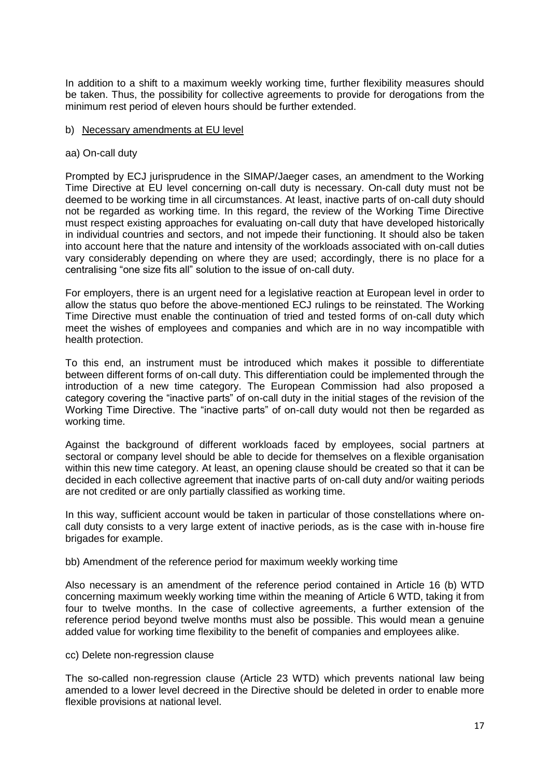In addition to a shift to a maximum weekly working time, further flexibility measures should be taken. Thus, the possibility for collective agreements to provide for derogations from the minimum rest period of eleven hours should be further extended.

#### b) Necessary amendments at EU level

#### aa) On-call duty

Prompted by ECJ jurisprudence in the SIMAP/Jaeger cases, an amendment to the Working Time Directive at EU level concerning on-call duty is necessary. On-call duty must not be deemed to be working time in all circumstances. At least, inactive parts of on-call duty should not be regarded as working time. In this regard, the review of the Working Time Directive must respect existing approaches for evaluating on-call duty that have developed historically in individual countries and sectors, and not impede their functioning. It should also be taken into account here that the nature and intensity of the workloads associated with on-call duties vary considerably depending on where they are used; accordingly, there is no place for a centralising "one size fits all" solution to the issue of on-call duty.

For employers, there is an urgent need for a legislative reaction at European level in order to allow the status quo before the above-mentioned ECJ rulings to be reinstated. The Working Time Directive must enable the continuation of tried and tested forms of on-call duty which meet the wishes of employees and companies and which are in no way incompatible with health protection.

To this end, an instrument must be introduced which makes it possible to differentiate between different forms of on-call duty. This differentiation could be implemented through the introduction of a new time category. The European Commission had also proposed a category covering the "inactive parts" of on-call duty in the initial stages of the revision of the Working Time Directive. The "inactive parts" of on-call duty would not then be regarded as working time.

Against the background of different workloads faced by employees, social partners at sectoral or company level should be able to decide for themselves on a flexible organisation within this new time category. At least, an opening clause should be created so that it can be decided in each collective agreement that inactive parts of on-call duty and/or waiting periods are not credited or are only partially classified as working time.

In this way, sufficient account would be taken in particular of those constellations where oncall duty consists to a very large extent of inactive periods, as is the case with in-house fire brigades for example.

#### bb) Amendment of the reference period for maximum weekly working time

Also necessary is an amendment of the reference period contained in Article 16 (b) WTD concerning maximum weekly working time within the meaning of Article 6 WTD, taking it from four to twelve months. In the case of collective agreements, a further extension of the reference period beyond twelve months must also be possible. This would mean a genuine added value for working time flexibility to the benefit of companies and employees alike.

#### cc) Delete non-regression clause

The so-called non-regression clause (Article 23 WTD) which prevents national law being amended to a lower level decreed in the Directive should be deleted in order to enable more flexible provisions at national level.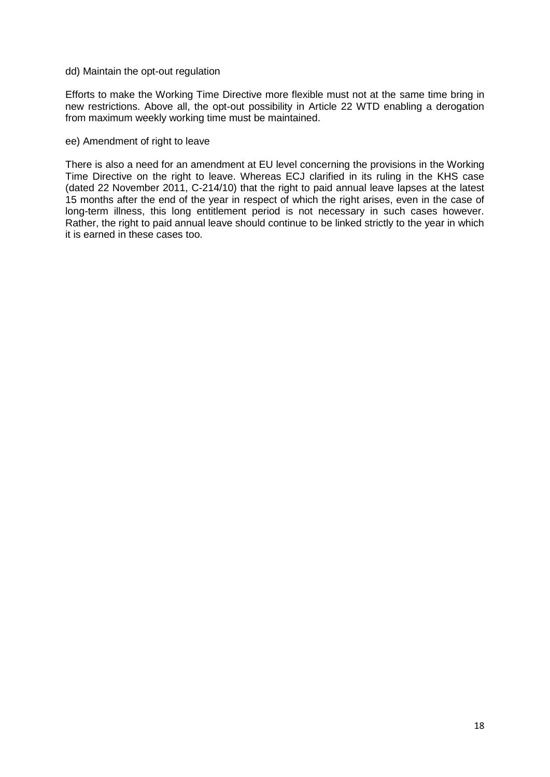dd) Maintain the opt-out regulation

Efforts to make the Working Time Directive more flexible must not at the same time bring in new restrictions. Above all, the opt-out possibility in Article 22 WTD enabling a derogation from maximum weekly working time must be maintained.

#### ee) Amendment of right to leave

There is also a need for an amendment at EU level concerning the provisions in the Working Time Directive on the right to leave. Whereas ECJ clarified in its ruling in the KHS case (dated 22 November 2011, C-214/10) that the right to paid annual leave lapses at the latest 15 months after the end of the year in respect of which the right arises, even in the case of long-term illness, this long entitlement period is not necessary in such cases however. Rather, the right to paid annual leave should continue to be linked strictly to the year in which it is earned in these cases too.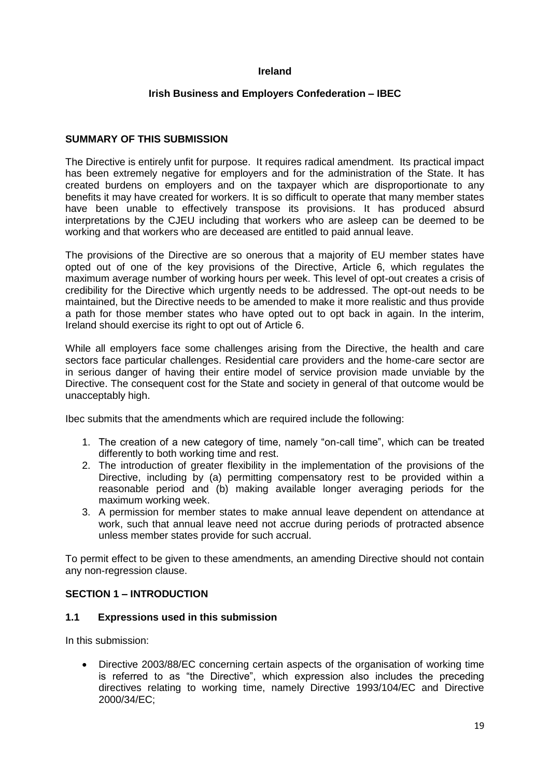# **Ireland**

#### **Irish Business and Employers Confederation – IBEC**

#### **SUMMARY OF THIS SUBMISSION**

The Directive is entirely unfit for purpose. It requires radical amendment. Its practical impact has been extremely negative for employers and for the administration of the State. It has created burdens on employers and on the taxpayer which are disproportionate to any benefits it may have created for workers. It is so difficult to operate that many member states have been unable to effectively transpose its provisions. It has produced absurd interpretations by the CJEU including that workers who are asleep can be deemed to be working and that workers who are deceased are entitled to paid annual leave.

The provisions of the Directive are so onerous that a majority of EU member states have opted out of one of the key provisions of the Directive, Article 6, which regulates the maximum average number of working hours per week. This level of opt-out creates a crisis of credibility for the Directive which urgently needs to be addressed. The opt-out needs to be maintained, but the Directive needs to be amended to make it more realistic and thus provide a path for those member states who have opted out to opt back in again. In the interim, Ireland should exercise its right to opt out of Article 6.

While all employers face some challenges arising from the Directive, the health and care sectors face particular challenges. Residential care providers and the home-care sector are in serious danger of having their entire model of service provision made unviable by the Directive. The consequent cost for the State and society in general of that outcome would be unacceptably high.

Ibec submits that the amendments which are required include the following:

- 1. The creation of a new category of time, namely "on-call time", which can be treated differently to both working time and rest.
- 2. The introduction of greater flexibility in the implementation of the provisions of the Directive, including by (a) permitting compensatory rest to be provided within a reasonable period and (b) making available longer averaging periods for the maximum working week.
- 3. A permission for member states to make annual leave dependent on attendance at work, such that annual leave need not accrue during periods of protracted absence unless member states provide for such accrual.

To permit effect to be given to these amendments, an amending Directive should not contain any non-regression clause.

# **SECTION 1 – INTRODUCTION**

#### **1.1 Expressions used in this submission**

In this submission:

 Directive 2003/88/EC concerning certain aspects of the organisation of working time is referred to as "the Directive", which expression also includes the preceding directives relating to working time, namely Directive 1993/104/EC and Directive 2000/34/EC;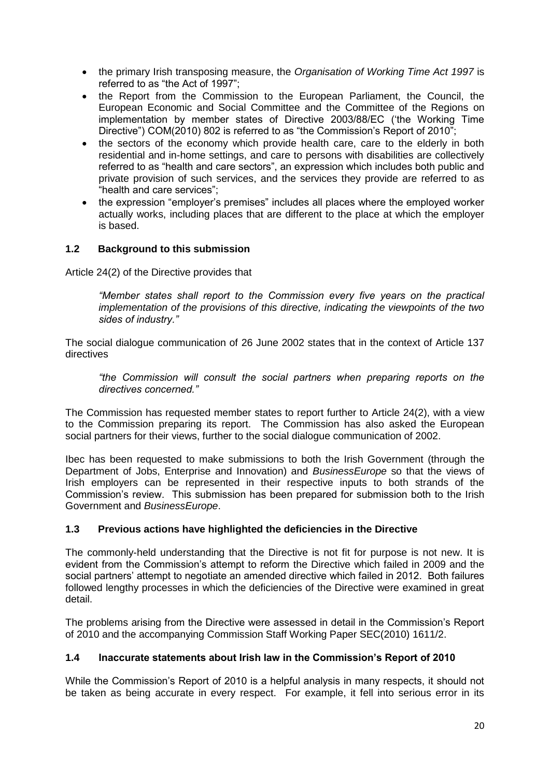- the primary Irish transposing measure, the *Organisation of Working Time Act 1997* is referred to as "the Act of 1997";
- the Report from the Commission to the European Parliament, the Council, the European Economic and Social Committee and the Committee of the Regions on implementation by member states of Directive 2003/88/EC ("the Working Time Directive") COM(2010) 802 is referred to as "the Commission's Report of 2010";
- the sectors of the economy which provide health care, care to the elderly in both residential and in-home settings, and care to persons with disabilities are collectively referred to as "health and care sectors", an expression which includes both public and private provision of such services, and the services they provide are referred to as "health and care services";
- the expression "employer"s premises" includes all places where the employed worker actually works, including places that are different to the place at which the employer is based.

# **1.2 Background to this submission**

Article 24(2) of the Directive provides that

*"Member states shall report to the Commission every five years on the practical implementation of the provisions of this directive, indicating the viewpoints of the two sides of industry."*

The social dialogue communication of 26 June 2002 states that in the context of Article 137 directives

*"the Commission will consult the social partners when preparing reports on the directives concerned."*

The Commission has requested member states to report further to Article 24(2), with a view to the Commission preparing its report. The Commission has also asked the European social partners for their views, further to the social dialogue communication of 2002.

Ibec has been requested to make submissions to both the Irish Government (through the Department of Jobs, Enterprise and Innovation) and *BusinessEurope* so that the views of Irish employers can be represented in their respective inputs to both strands of the Commission"s review. This submission has been prepared for submission both to the Irish Government and *BusinessEurope*.

# **1.3 Previous actions have highlighted the deficiencies in the Directive**

The commonly-held understanding that the Directive is not fit for purpose is not new. It is evident from the Commission"s attempt to reform the Directive which failed in 2009 and the social partners' attempt to negotiate an amended directive which failed in 2012. Both failures followed lengthy processes in which the deficiencies of the Directive were examined in great detail.

The problems arising from the Directive were assessed in detail in the Commission"s Report of 2010 and the accompanying Commission Staff Working Paper SEC(2010) 1611/2.

# **1.4 Inaccurate statements about Irish law in the Commission's Report of 2010**

While the Commission"s Report of 2010 is a helpful analysis in many respects, it should not be taken as being accurate in every respect. For example, it fell into serious error in its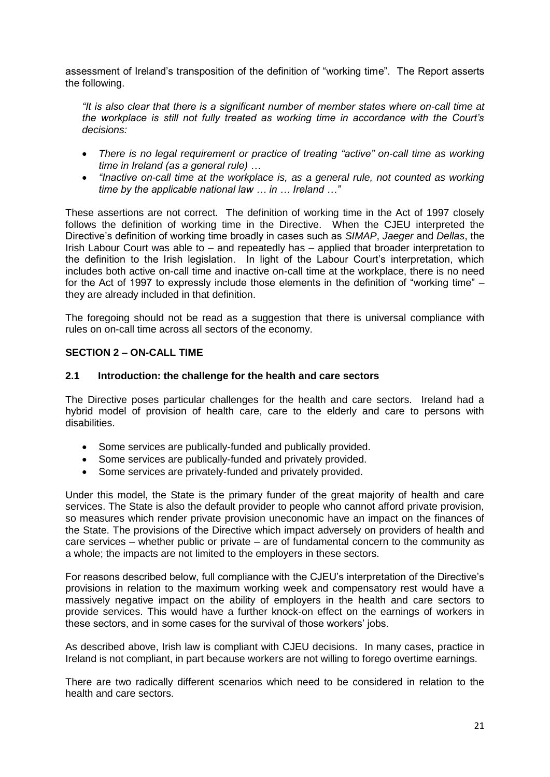assessment of Ireland"s transposition of the definition of "working time". The Report asserts the following.

*"It is also clear that there is a significant number of member states where on-call time at the workplace is still not fully treated as working time in accordance with the Court's decisions:*

- *There is no legal requirement or practice of treating "active" on-call time as working time in Ireland (as a general rule) …*
- *"Inactive on-call time at the workplace is, as a general rule, not counted as working time by the applicable national law … in … Ireland …"*

These assertions are not correct. The definition of working time in the Act of 1997 closely follows the definition of working time in the Directive. When the CJEU interpreted the Directive"s definition of working time broadly in cases such as *SIMAP*, *Jaeger* and *Dellas*, the Irish Labour Court was able to – and repeatedly has – applied that broader interpretation to the definition to the Irish legislation. In light of the Labour Court"s interpretation, which includes both active on-call time and inactive on-call time at the workplace, there is no need for the Act of 1997 to expressly include those elements in the definition of "working time" – they are already included in that definition.

The foregoing should not be read as a suggestion that there is universal compliance with rules on on-call time across all sectors of the economy.

# **SECTION 2 – ON-CALL TIME**

#### **2.1 Introduction: the challenge for the health and care sectors**

The Directive poses particular challenges for the health and care sectors. Ireland had a hybrid model of provision of health care, care to the elderly and care to persons with disabilities.

- Some services are publically-funded and publically provided.
- Some services are publically-funded and privately provided.
- Some services are privately-funded and privately provided.

Under this model, the State is the primary funder of the great majority of health and care services. The State is also the default provider to people who cannot afford private provision, so measures which render private provision uneconomic have an impact on the finances of the State. The provisions of the Directive which impact adversely on providers of health and care services – whether public or private – are of fundamental concern to the community as a whole; the impacts are not limited to the employers in these sectors.

For reasons described below, full compliance with the CJEU"s interpretation of the Directive"s provisions in relation to the maximum working week and compensatory rest would have a massively negative impact on the ability of employers in the health and care sectors to provide services. This would have a further knock-on effect on the earnings of workers in these sectors, and in some cases for the survival of those workers" jobs.

As described above, Irish law is compliant with CJEU decisions. In many cases, practice in Ireland is not compliant, in part because workers are not willing to forego overtime earnings.

There are two radically different scenarios which need to be considered in relation to the health and care sectors.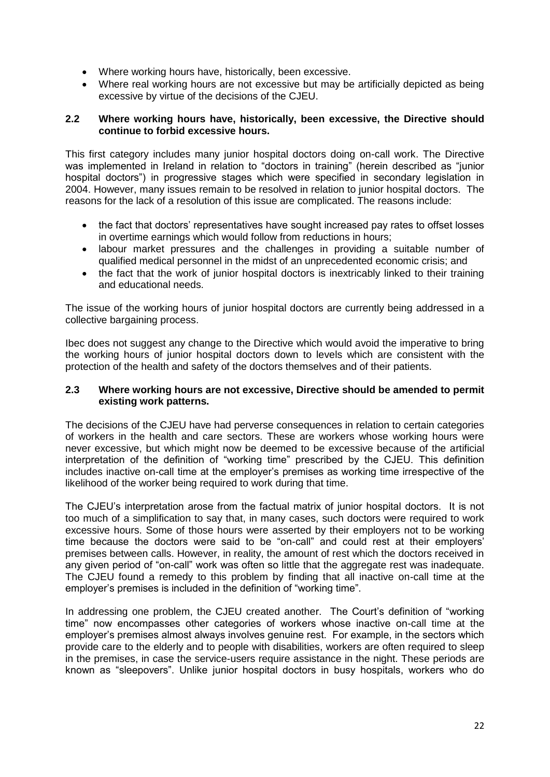- Where working hours have, historically, been excessive.
- Where real working hours are not excessive but may be artificially depicted as being excessive by virtue of the decisions of the CJEU.

# **2.2 Where working hours have, historically, been excessive, the Directive should continue to forbid excessive hours.**

This first category includes many junior hospital doctors doing on-call work. The Directive was implemented in Ireland in relation to "doctors in training" (herein described as "junior hospital doctors") in progressive stages which were specified in secondary legislation in 2004. However, many issues remain to be resolved in relation to junior hospital doctors. The reasons for the lack of a resolution of this issue are complicated. The reasons include:

- the fact that doctors" representatives have sought increased pay rates to offset losses in overtime earnings which would follow from reductions in hours;
- labour market pressures and the challenges in providing a suitable number of qualified medical personnel in the midst of an unprecedented economic crisis; and
- the fact that the work of junior hospital doctors is inextricably linked to their training and educational needs.

The issue of the working hours of junior hospital doctors are currently being addressed in a collective bargaining process.

Ibec does not suggest any change to the Directive which would avoid the imperative to bring the working hours of junior hospital doctors down to levels which are consistent with the protection of the health and safety of the doctors themselves and of their patients.

# **2.3 Where working hours are not excessive, Directive should be amended to permit existing work patterns.**

The decisions of the CJEU have had perverse consequences in relation to certain categories of workers in the health and care sectors. These are workers whose working hours were never excessive, but which might now be deemed to be excessive because of the artificial interpretation of the definition of "working time" prescribed by the CJEU. This definition includes inactive on-call time at the employer"s premises as working time irrespective of the likelihood of the worker being required to work during that time.

The CJEU"s interpretation arose from the factual matrix of junior hospital doctors. It is not too much of a simplification to say that, in many cases, such doctors were required to work excessive hours. Some of those hours were asserted by their employers not to be working time because the doctors were said to be "on-call" and could rest at their employers' premises between calls. However, in reality, the amount of rest which the doctors received in any given period of "on-call" work was often so little that the aggregate rest was inadequate. The CJEU found a remedy to this problem by finding that all inactive on-call time at the employer's premises is included in the definition of "working time".

In addressing one problem, the CJEU created another. The Court's definition of "working time" now encompasses other categories of workers whose inactive on-call time at the employer"s premises almost always involves genuine rest. For example, in the sectors which provide care to the elderly and to people with disabilities, workers are often required to sleep in the premises, in case the service-users require assistance in the night. These periods are known as "sleepovers". Unlike junior hospital doctors in busy hospitals, workers who do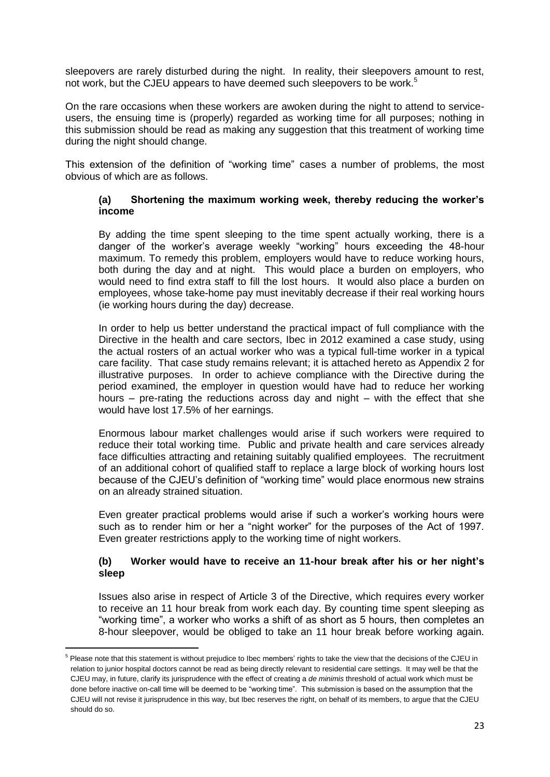sleepovers are rarely disturbed during the night. In reality, their sleepovers amount to rest, not work, but the CJEU appears to have deemed such sleepovers to be work.<sup>5</sup>

On the rare occasions when these workers are awoken during the night to attend to serviceusers, the ensuing time is (properly) regarded as working time for all purposes; nothing in this submission should be read as making any suggestion that this treatment of working time during the night should change.

This extension of the definition of "working time" cases a number of problems, the most obvious of which are as follows.

#### **(a) Shortening the maximum working week, thereby reducing the worker's income**

By adding the time spent sleeping to the time spent actually working, there is a danger of the worker"s average weekly "working" hours exceeding the 48-hour maximum. To remedy this problem, employers would have to reduce working hours, both during the day and at night. This would place a burden on employers, who would need to find extra staff to fill the lost hours. It would also place a burden on employees, whose take-home pay must inevitably decrease if their real working hours (ie working hours during the day) decrease.

In order to help us better understand the practical impact of full compliance with the Directive in the health and care sectors, Ibec in 2012 examined a case study, using the actual rosters of an actual worker who was a typical full-time worker in a typical care facility. That case study remains relevant; it is attached hereto as Appendix 2 for illustrative purposes. In order to achieve compliance with the Directive during the period examined, the employer in question would have had to reduce her working hours – pre-rating the reductions across day and night – with the effect that she would have lost 17.5% of her earnings.

Enormous labour market challenges would arise if such workers were required to reduce their total working time. Public and private health and care services already face difficulties attracting and retaining suitably qualified employees. The recruitment of an additional cohort of qualified staff to replace a large block of working hours lost because of the CJEU"s definition of "working time" would place enormous new strains on an already strained situation.

Even greater practical problems would arise if such a worker"s working hours were such as to render him or her a "night worker" for the purposes of the Act of 1997. Even greater restrictions apply to the working time of night workers.

# **(b) Worker would have to receive an 11-hour break after his or her night's sleep**

Issues also arise in respect of Article 3 of the Directive, which requires every worker to receive an 11 hour break from work each day. By counting time spent sleeping as "working time", a worker who works a shift of as short as 5 hours, then completes an 8-hour sleepover, would be obliged to take an 11 hour break before working again.

1

<sup>&</sup>lt;sup>5</sup> Please note that this statement is without prejudice to Ibec members' rights to take the view that the decisions of the CJEU in relation to junior hospital doctors cannot be read as being directly relevant to residential care settings. It may well be that the CJEU may, in future, clarify its jurisprudence with the effect of creating a *de minimis* threshold of actual work which must be done before inactive on-call time will be deemed to be "working time". This submission is based on the assumption that the CJEU will not revise it jurisprudence in this way, but Ibec reserves the right, on behalf of its members, to argue that the CJEU should do so.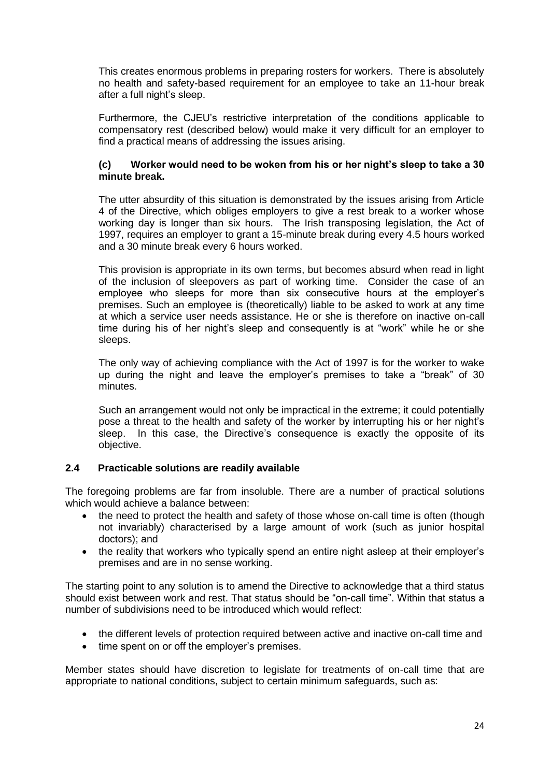This creates enormous problems in preparing rosters for workers. There is absolutely no health and safety-based requirement for an employee to take an 11-hour break after a full night"s sleep.

Furthermore, the CJEU"s restrictive interpretation of the conditions applicable to compensatory rest (described below) would make it very difficult for an employer to find a practical means of addressing the issues arising.

# **(c) Worker would need to be woken from his or her night's sleep to take a 30 minute break.**

The utter absurdity of this situation is demonstrated by the issues arising from Article 4 of the Directive, which obliges employers to give a rest break to a worker whose working day is longer than six hours. The Irish transposing legislation, the Act of 1997, requires an employer to grant a 15-minute break during every 4.5 hours worked and a 30 minute break every 6 hours worked.

This provision is appropriate in its own terms, but becomes absurd when read in light of the inclusion of sleepovers as part of working time. Consider the case of an employee who sleeps for more than six consecutive hours at the employer"s premises. Such an employee is (theoretically) liable to be asked to work at any time at which a service user needs assistance. He or she is therefore on inactive on-call time during his of her night's sleep and consequently is at "work" while he or she sleeps.

The only way of achieving compliance with the Act of 1997 is for the worker to wake up during the night and leave the employer"s premises to take a "break" of 30 minutes.

Such an arrangement would not only be impractical in the extreme; it could potentially pose a threat to the health and safety of the worker by interrupting his or her night"s sleep. In this case, the Directive"s consequence is exactly the opposite of its objective.

# **2.4 Practicable solutions are readily available**

The foregoing problems are far from insoluble. There are a number of practical solutions which would achieve a balance between:

- the need to protect the health and safety of those whose on-call time is often (though not invariably) characterised by a large amount of work (such as junior hospital doctors); and
- the reality that workers who typically spend an entire night asleep at their employer's premises and are in no sense working.

The starting point to any solution is to amend the Directive to acknowledge that a third status should exist between work and rest. That status should be "on-call time". Within that status a number of subdivisions need to be introduced which would reflect:

- the different levels of protection required between active and inactive on-call time and
- time spent on or off the employer's premises.

Member states should have discretion to legislate for treatments of on-call time that are appropriate to national conditions, subject to certain minimum safeguards, such as: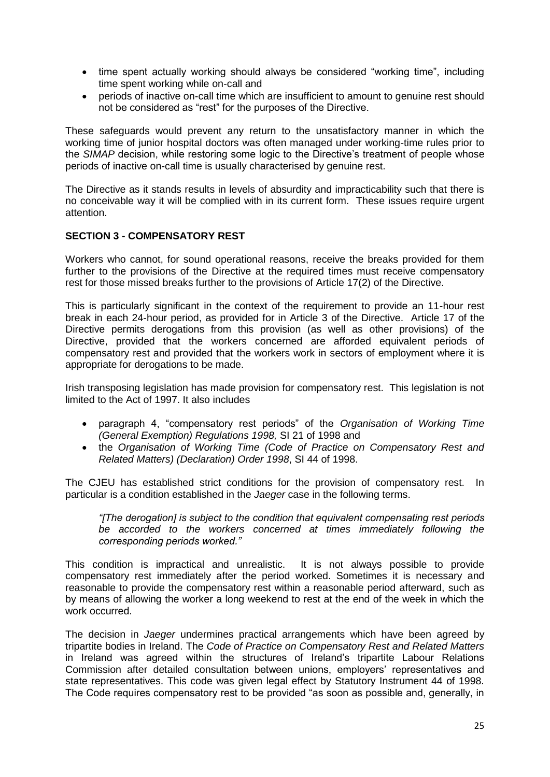- time spent actually working should always be considered "working time", including time spent working while on-call and
- periods of inactive on-call time which are insufficient to amount to genuine rest should not be considered as "rest" for the purposes of the Directive.

These safeguards would prevent any return to the unsatisfactory manner in which the working time of junior hospital doctors was often managed under working-time rules prior to the *SIMAP* decision, while restoring some logic to the Directive"s treatment of people whose periods of inactive on-call time is usually characterised by genuine rest.

The Directive as it stands results in levels of absurdity and impracticability such that there is no conceivable way it will be complied with in its current form. These issues require urgent attention.

# **SECTION 3 - COMPENSATORY REST**

Workers who cannot, for sound operational reasons, receive the breaks provided for them further to the provisions of the Directive at the required times must receive compensatory rest for those missed breaks further to the provisions of Article 17(2) of the Directive.

This is particularly significant in the context of the requirement to provide an 11-hour rest break in each 24-hour period, as provided for in Article 3 of the Directive. Article 17 of the Directive permits derogations from this provision (as well as other provisions) of the Directive, provided that the workers concerned are afforded equivalent periods of compensatory rest and provided that the workers work in sectors of employment where it is appropriate for derogations to be made.

Irish transposing legislation has made provision for compensatory rest. This legislation is not limited to the Act of 1997. It also includes

- paragraph 4, "compensatory rest periods" of the *Organisation of Working Time (General Exemption) Regulations 1998,* SI 21 of 1998 and
- the *Organisation of Working Time (Code of Practice on Compensatory Rest and Related Matters) (Declaration) Order 1998*, SI 44 of 1998.

The CJEU has established strict conditions for the provision of compensatory rest. In particular is a condition established in the *Jaeger* case in the following terms.

*"[The derogation] is subject to the condition that equivalent compensating rest periods be accorded to the workers concerned at times immediately following the corresponding periods worked."*

This condition is impractical and unrealistic. It is not always possible to provide compensatory rest immediately after the period worked. Sometimes it is necessary and reasonable to provide the compensatory rest within a reasonable period afterward, such as by means of allowing the worker a long weekend to rest at the end of the week in which the work occurred.

The decision in *Jaeger* undermines practical arrangements which have been agreed by tripartite bodies in Ireland. The *Code of Practice on Compensatory Rest and Related Matters* in Ireland was agreed within the structures of Ireland"s tripartite Labour Relations Commission after detailed consultation between unions, employers" representatives and state representatives. This code was given legal effect by Statutory Instrument 44 of 1998. The Code requires compensatory rest to be provided "as soon as possible and, generally, in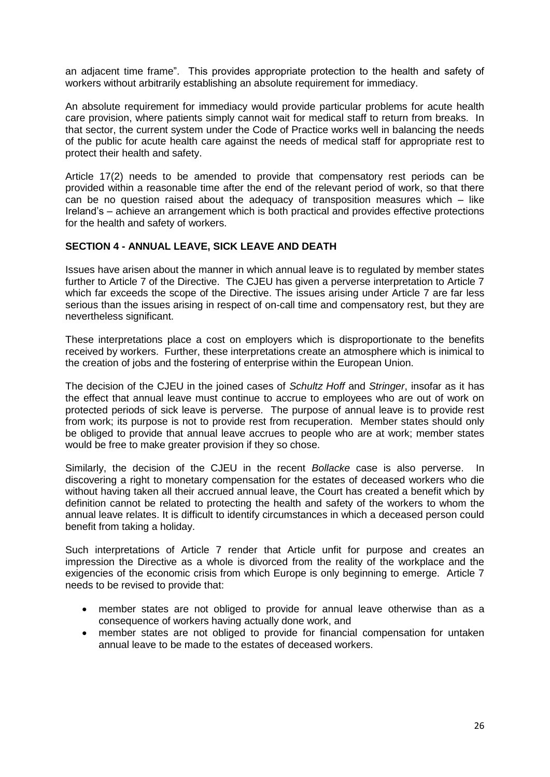an adjacent time frame". This provides appropriate protection to the health and safety of workers without arbitrarily establishing an absolute requirement for immediacy.

An absolute requirement for immediacy would provide particular problems for acute health care provision, where patients simply cannot wait for medical staff to return from breaks. In that sector, the current system under the Code of Practice works well in balancing the needs of the public for acute health care against the needs of medical staff for appropriate rest to protect their health and safety.

Article 17(2) needs to be amended to provide that compensatory rest periods can be provided within a reasonable time after the end of the relevant period of work, so that there can be no question raised about the adequacy of transposition measures which – like Ireland"s – achieve an arrangement which is both practical and provides effective protections for the health and safety of workers.

# **SECTION 4 - ANNUAL LEAVE, SICK LEAVE AND DEATH**

Issues have arisen about the manner in which annual leave is to regulated by member states further to Article 7 of the Directive. The CJEU has given a perverse interpretation to Article 7 which far exceeds the scope of the Directive. The issues arising under Article 7 are far less serious than the issues arising in respect of on-call time and compensatory rest, but they are nevertheless significant.

These interpretations place a cost on employers which is disproportionate to the benefits received by workers. Further, these interpretations create an atmosphere which is inimical to the creation of jobs and the fostering of enterprise within the European Union.

The decision of the CJEU in the joined cases of *Schultz Hoff* and *Stringer*, insofar as it has the effect that annual leave must continue to accrue to employees who are out of work on protected periods of sick leave is perverse. The purpose of annual leave is to provide rest from work; its purpose is not to provide rest from recuperation. Member states should only be obliged to provide that annual leave accrues to people who are at work; member states would be free to make greater provision if they so chose.

Similarly, the decision of the CJEU in the recent *Bollacke* case is also perverse. In discovering a right to monetary compensation for the estates of deceased workers who die without having taken all their accrued annual leave, the Court has created a benefit which by definition cannot be related to protecting the health and safety of the workers to whom the annual leave relates. It is difficult to identify circumstances in which a deceased person could benefit from taking a holiday.

Such interpretations of Article 7 render that Article unfit for purpose and creates an impression the Directive as a whole is divorced from the reality of the workplace and the exigencies of the economic crisis from which Europe is only beginning to emerge. Article 7 needs to be revised to provide that:

- member states are not obliged to provide for annual leave otherwise than as a consequence of workers having actually done work, and
- member states are not obliged to provide for financial compensation for untaken annual leave to be made to the estates of deceased workers.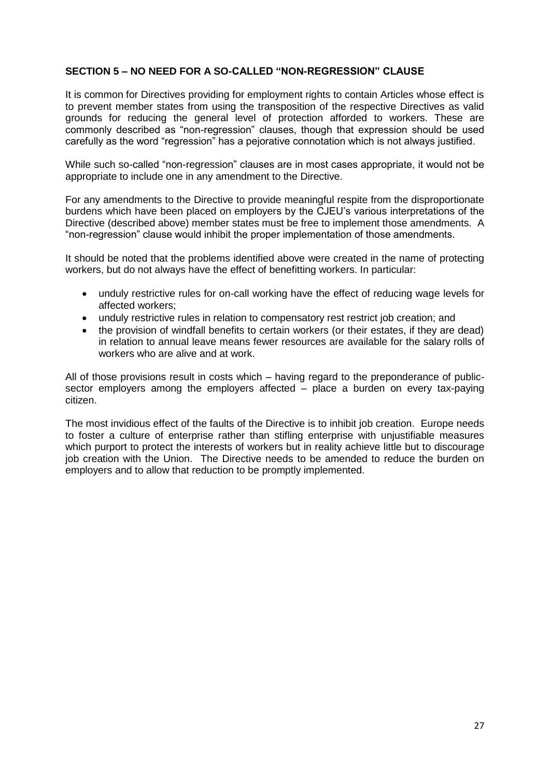# **SECTION 5 – NO NEED FOR A SO-CALLED "NON-REGRESSION" CLAUSE**

It is common for Directives providing for employment rights to contain Articles whose effect is to prevent member states from using the transposition of the respective Directives as valid grounds for reducing the general level of protection afforded to workers. These are commonly described as "non-regression" clauses, though that expression should be used carefully as the word "regression" has a pejorative connotation which is not always justified.

While such so-called "non-regression" clauses are in most cases appropriate, it would not be appropriate to include one in any amendment to the Directive.

For any amendments to the Directive to provide meaningful respite from the disproportionate burdens which have been placed on employers by the CJEU"s various interpretations of the Directive (described above) member states must be free to implement those amendments. A "non-regression" clause would inhibit the proper implementation of those amendments.

It should be noted that the problems identified above were created in the name of protecting workers, but do not always have the effect of benefitting workers. In particular:

- unduly restrictive rules for on-call working have the effect of reducing wage levels for affected workers;
- unduly restrictive rules in relation to compensatory rest restrict job creation; and
- the provision of windfall benefits to certain workers (or their estates, if they are dead) in relation to annual leave means fewer resources are available for the salary rolls of workers who are alive and at work.

All of those provisions result in costs which – having regard to the preponderance of publicsector employers among the employers affected – place a burden on every tax-paying citizen.

The most invidious effect of the faults of the Directive is to inhibit job creation. Europe needs to foster a culture of enterprise rather than stifling enterprise with unjustifiable measures which purport to protect the interests of workers but in reality achieve little but to discourage job creation with the Union. The Directive needs to be amended to reduce the burden on employers and to allow that reduction to be promptly implemented.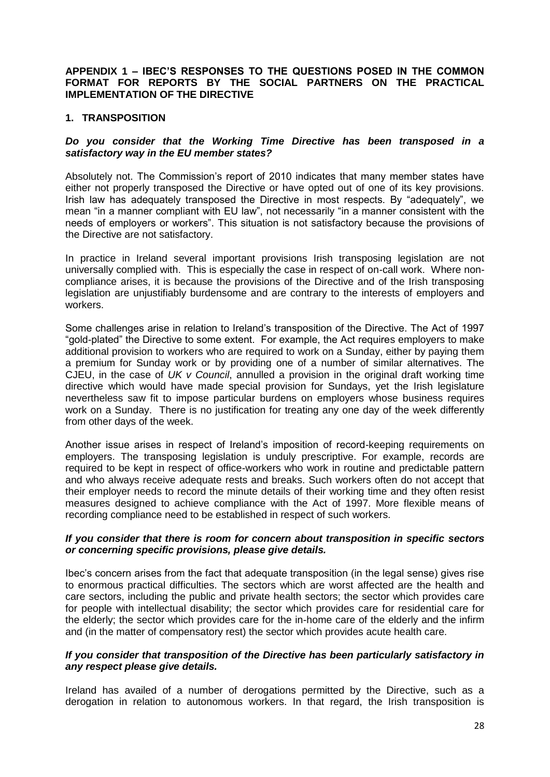#### **APPENDIX 1 – IBEC'S RESPONSES TO THE QUESTIONS POSED IN THE COMMON FORMAT FOR REPORTS BY THE SOCIAL PARTNERS ON THE PRACTICAL IMPLEMENTATION OF THE DIRECTIVE**

### **1. TRANSPOSITION**

# *Do you consider that the Working Time Directive has been transposed in a satisfactory way in the EU member states?*

Absolutely not. The Commission's report of 2010 indicates that many member states have either not properly transposed the Directive or have opted out of one of its key provisions. Irish law has adequately transposed the Directive in most respects. By "adequately", we mean "in a manner compliant with EU law", not necessarily "in a manner consistent with the needs of employers or workers". This situation is not satisfactory because the provisions of the Directive are not satisfactory.

In practice in Ireland several important provisions Irish transposing legislation are not universally complied with. This is especially the case in respect of on-call work. Where noncompliance arises, it is because the provisions of the Directive and of the Irish transposing legislation are unjustifiably burdensome and are contrary to the interests of employers and workers.

Some challenges arise in relation to Ireland"s transposition of the Directive. The Act of 1997 "gold-plated" the Directive to some extent. For example, the Act requires employers to make additional provision to workers who are required to work on a Sunday, either by paying them a premium for Sunday work or by providing one of a number of similar alternatives. The CJEU, in the case of *UK v Council*, annulled a provision in the original draft working time directive which would have made special provision for Sundays, yet the Irish legislature nevertheless saw fit to impose particular burdens on employers whose business requires work on a Sunday. There is no justification for treating any one day of the week differently from other days of the week.

Another issue arises in respect of Ireland"s imposition of record-keeping requirements on employers. The transposing legislation is unduly prescriptive. For example, records are required to be kept in respect of office-workers who work in routine and predictable pattern and who always receive adequate rests and breaks. Such workers often do not accept that their employer needs to record the minute details of their working time and they often resist measures designed to achieve compliance with the Act of 1997. More flexible means of recording compliance need to be established in respect of such workers.

#### *If you consider that there is room for concern about transposition in specific sectors or concerning specific provisions, please give details.*

Ibec"s concern arises from the fact that adequate transposition (in the legal sense) gives rise to enormous practical difficulties. The sectors which are worst affected are the health and care sectors, including the public and private health sectors; the sector which provides care for people with intellectual disability; the sector which provides care for residential care for the elderly; the sector which provides care for the in-home care of the elderly and the infirm and (in the matter of compensatory rest) the sector which provides acute health care.

#### *If you consider that transposition of the Directive has been particularly satisfactory in any respect please give details.*

Ireland has availed of a number of derogations permitted by the Directive, such as a derogation in relation to autonomous workers. In that regard, the Irish transposition is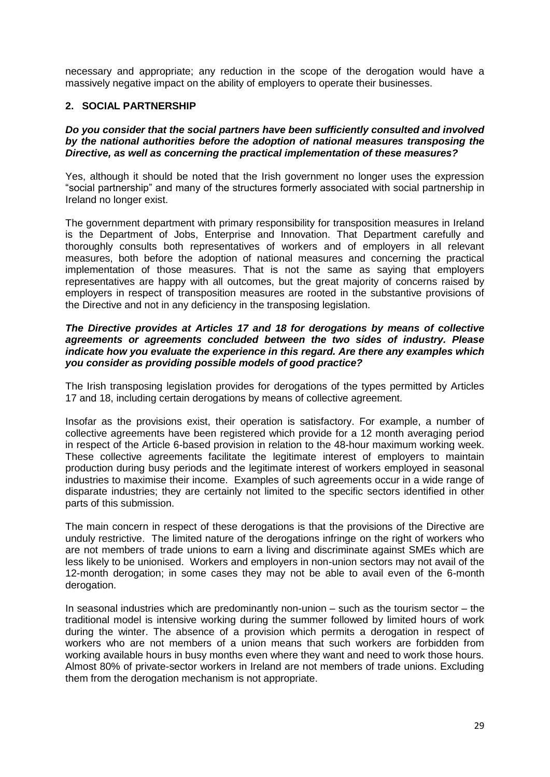necessary and appropriate; any reduction in the scope of the derogation would have a massively negative impact on the ability of employers to operate their businesses.

# **2. SOCIAL PARTNERSHIP**

#### *Do you consider that the social partners have been sufficiently consulted and involved by the national authorities before the adoption of national measures transposing the Directive, as well as concerning the practical implementation of these measures?*

Yes, although it should be noted that the Irish government no longer uses the expression "social partnership" and many of the structures formerly associated with social partnership in Ireland no longer exist.

The government department with primary responsibility for transposition measures in Ireland is the Department of Jobs, Enterprise and Innovation. That Department carefully and thoroughly consults both representatives of workers and of employers in all relevant measures, both before the adoption of national measures and concerning the practical implementation of those measures. That is not the same as saying that employers representatives are happy with all outcomes, but the great majority of concerns raised by employers in respect of transposition measures are rooted in the substantive provisions of the Directive and not in any deficiency in the transposing legislation.

#### *The Directive provides at Articles 17 and 18 for derogations by means of collective agreements or agreements concluded between the two sides of industry. Please indicate how you evaluate the experience in this regard. Are there any examples which you consider as providing possible models of good practice?*

The Irish transposing legislation provides for derogations of the types permitted by Articles 17 and 18, including certain derogations by means of collective agreement.

Insofar as the provisions exist, their operation is satisfactory. For example, a number of collective agreements have been registered which provide for a 12 month averaging period in respect of the Article 6-based provision in relation to the 48-hour maximum working week. These collective agreements facilitate the legitimate interest of employers to maintain production during busy periods and the legitimate interest of workers employed in seasonal industries to maximise their income. Examples of such agreements occur in a wide range of disparate industries; they are certainly not limited to the specific sectors identified in other parts of this submission.

The main concern in respect of these derogations is that the provisions of the Directive are unduly restrictive. The limited nature of the derogations infringe on the right of workers who are not members of trade unions to earn a living and discriminate against SMEs which are less likely to be unionised. Workers and employers in non-union sectors may not avail of the 12-month derogation; in some cases they may not be able to avail even of the 6-month derogation.

In seasonal industries which are predominantly non-union – such as the tourism sector – the traditional model is intensive working during the summer followed by limited hours of work during the winter. The absence of a provision which permits a derogation in respect of workers who are not members of a union means that such workers are forbidden from working available hours in busy months even where they want and need to work those hours. Almost 80% of private-sector workers in Ireland are not members of trade unions. Excluding them from the derogation mechanism is not appropriate.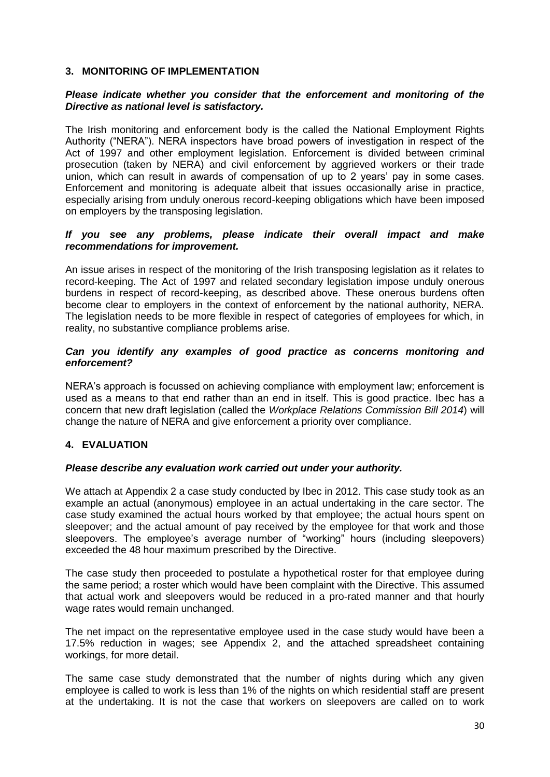# **3. MONITORING OF IMPLEMENTATION**

# *Please indicate whether you consider that the enforcement and monitoring of the Directive as national level is satisfactory.*

The Irish monitoring and enforcement body is the called the National Employment Rights Authority ("NERA"). NERA inspectors have broad powers of investigation in respect of the Act of 1997 and other employment legislation. Enforcement is divided between criminal prosecution (taken by NERA) and civil enforcement by aggrieved workers or their trade union, which can result in awards of compensation of up to 2 years' pay in some cases. Enforcement and monitoring is adequate albeit that issues occasionally arise in practice, especially arising from unduly onerous record-keeping obligations which have been imposed on employers by the transposing legislation.

### *If you see any problems, please indicate their overall impact and make recommendations for improvement.*

An issue arises in respect of the monitoring of the Irish transposing legislation as it relates to record-keeping. The Act of 1997 and related secondary legislation impose unduly onerous burdens in respect of record-keeping, as described above. These onerous burdens often become clear to employers in the context of enforcement by the national authority, NERA. The legislation needs to be more flexible in respect of categories of employees for which, in reality, no substantive compliance problems arise.

# *Can you identify any examples of good practice as concerns monitoring and enforcement?*

NERA"s approach is focussed on achieving compliance with employment law; enforcement is used as a means to that end rather than an end in itself. This is good practice. Ibec has a concern that new draft legislation (called the *Workplace Relations Commission Bill 2014*) will change the nature of NERA and give enforcement a priority over compliance.

# **4. EVALUATION**

# *Please describe any evaluation work carried out under your authority.*

We attach at Appendix 2 a case study conducted by Ibec in 2012. This case study took as an example an actual (anonymous) employee in an actual undertaking in the care sector. The case study examined the actual hours worked by that employee; the actual hours spent on sleepover; and the actual amount of pay received by the employee for that work and those sleepovers. The employee's average number of "working" hours (including sleepovers) exceeded the 48 hour maximum prescribed by the Directive.

The case study then proceeded to postulate a hypothetical roster for that employee during the same period; a roster which would have been complaint with the Directive. This assumed that actual work and sleepovers would be reduced in a pro-rated manner and that hourly wage rates would remain unchanged.

The net impact on the representative employee used in the case study would have been a 17.5% reduction in wages; see Appendix 2, and the attached spreadsheet containing workings, for more detail.

The same case study demonstrated that the number of nights during which any given employee is called to work is less than 1% of the nights on which residential staff are present at the undertaking. It is not the case that workers on sleepovers are called on to work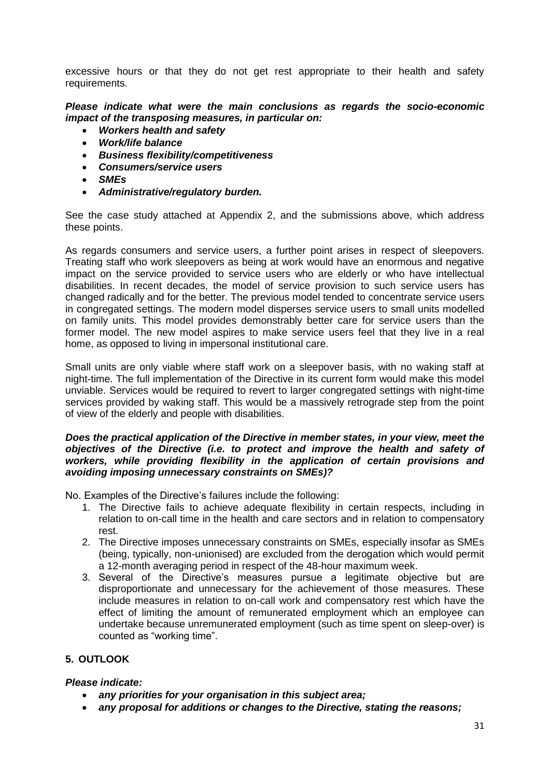excessive hours or that they do not get rest appropriate to their health and safety requirements.

*Please indicate what were the main conclusions as regards the socio-economic impact of the transposing measures, in particular on:*

- *Workers health and safety*
- *Work/life balance*
- *Business flexibility/competitiveness*
- *Consumers/service users*
- *SMEs*
- *Administrative/regulatory burden.*

See the case study attached at Appendix 2, and the submissions above, which address these points.

As regards consumers and service users, a further point arises in respect of sleepovers. Treating staff who work sleepovers as being at work would have an enormous and negative impact on the service provided to service users who are elderly or who have intellectual disabilities. In recent decades, the model of service provision to such service users has changed radically and for the better. The previous model tended to concentrate service users in congregated settings. The modern model disperses service users to small units modelled on family units. This model provides demonstrably better care for service users than the former model. The new model aspires to make service users feel that they live in a real home, as opposed to living in impersonal institutional care.

Small units are only viable where staff work on a sleepover basis, with no waking staff at night-time. The full implementation of the Directive in its current form would make this model unviable. Services would be required to revert to larger congregated settings with night-time services provided by waking staff. This would be a massively retrograde step from the point of view of the elderly and people with disabilities.

#### *Does the practical application of the Directive in member states, in your view, meet the objectives of the Directive (i.e. to protect and improve the health and safety of workers, while providing flexibility in the application of certain provisions and avoiding imposing unnecessary constraints on SMEs)?*

No. Examples of the Directive's failures include the following:

- 1. The Directive fails to achieve adequate flexibility in certain respects, including in relation to on-call time in the health and care sectors and in relation to compensatory rest.
- 2. The Directive imposes unnecessary constraints on SMEs, especially insofar as SMEs (being, typically, non-unionised) are excluded from the derogation which would permit a 12-month averaging period in respect of the 48-hour maximum week.
- 3. Several of the Directive"s measures pursue a legitimate objective but are disproportionate and unnecessary for the achievement of those measures. These include measures in relation to on-call work and compensatory rest which have the effect of limiting the amount of remunerated employment which an employee can undertake because unremunerated employment (such as time spent on sleep-over) is counted as "working time".

# **5. OUTLOOK**

# *Please indicate:*

- *any priorities for your organisation in this subject area;*
- *any proposal for additions or changes to the Directive, stating the reasons;*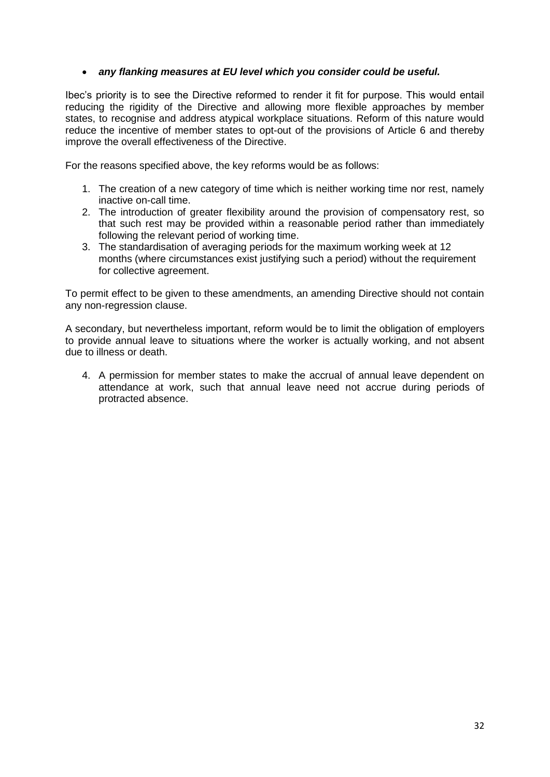# *any flanking measures at EU level which you consider could be useful.*

Ibec"s priority is to see the Directive reformed to render it fit for purpose. This would entail reducing the rigidity of the Directive and allowing more flexible approaches by member states, to recognise and address atypical workplace situations. Reform of this nature would reduce the incentive of member states to opt-out of the provisions of Article 6 and thereby improve the overall effectiveness of the Directive.

For the reasons specified above, the key reforms would be as follows:

- 1. The creation of a new category of time which is neither working time nor rest, namely inactive on-call time.
- 2. The introduction of greater flexibility around the provision of compensatory rest, so that such rest may be provided within a reasonable period rather than immediately following the relevant period of working time.
- 3. The standardisation of averaging periods for the maximum working week at 12 months (where circumstances exist justifying such a period) without the requirement for collective agreement.

To permit effect to be given to these amendments, an amending Directive should not contain any non-regression clause.

A secondary, but nevertheless important, reform would be to limit the obligation of employers to provide annual leave to situations where the worker is actually working, and not absent due to illness or death.

4. A permission for member states to make the accrual of annual leave dependent on attendance at work, such that annual leave need not accrue during periods of protracted absence.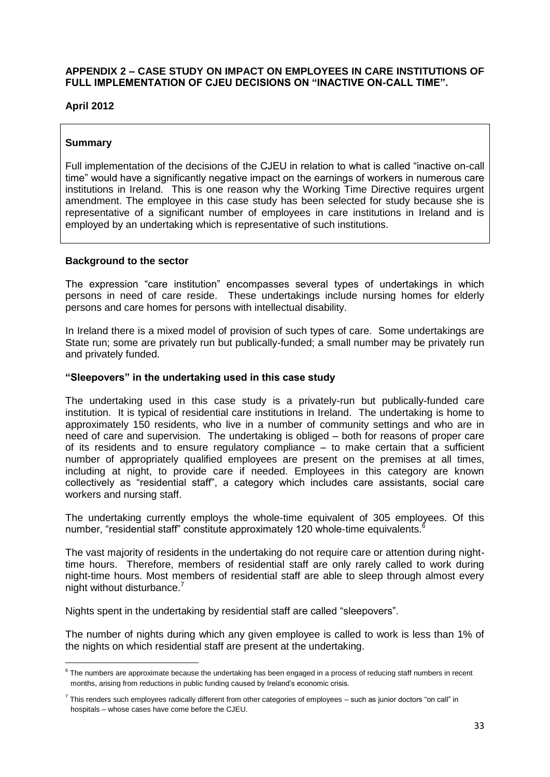# **APPENDIX 2 – CASE STUDY ON IMPACT ON EMPLOYEES IN CARE INSTITUTIONS OF FULL IMPLEMENTATION OF CJEU DECISIONS ON "INACTIVE ON-CALL TIME".**

# **April 2012**

### **Summary**

**.** 

Full implementation of the decisions of the CJEU in relation to what is called "inactive on-call time" would have a significantly negative impact on the earnings of workers in numerous care institutions in Ireland. This is one reason why the Working Time Directive requires urgent amendment. The employee in this case study has been selected for study because she is representative of a significant number of employees in care institutions in Ireland and is employed by an undertaking which is representative of such institutions.

#### **Background to the sector**

The expression "care institution" encompasses several types of undertakings in which persons in need of care reside. These undertakings include nursing homes for elderly persons and care homes for persons with intellectual disability.

In Ireland there is a mixed model of provision of such types of care. Some undertakings are State run; some are privately run but publically-funded; a small number may be privately run and privately funded.

#### **"Sleepovers" in the undertaking used in this case study**

The undertaking used in this case study is a privately-run but publically-funded care institution. It is typical of residential care institutions in Ireland. The undertaking is home to approximately 150 residents, who live in a number of community settings and who are in need of care and supervision. The undertaking is obliged – both for reasons of proper care of its residents and to ensure regulatory compliance – to make certain that a sufficient number of appropriately qualified employees are present on the premises at all times, including at night, to provide care if needed. Employees in this category are known collectively as "residential staff", a category which includes care assistants, social care workers and nursing staff.

The undertaking currently employs the whole-time equivalent of 305 employees. Of this number, "residential staff" constitute approximately 120 whole-time equivalents.

The vast majority of residents in the undertaking do not require care or attention during nighttime hours. Therefore, members of residential staff are only rarely called to work during night-time hours. Most members of residential staff are able to sleep through almost every night without disturbance.<sup>7</sup>

Nights spent in the undertaking by residential staff are called "sleepovers".

The number of nights during which any given employee is called to work is less than 1% of the nights on which residential staff are present at the undertaking.

 $^6$  The numbers are approximate because the undertaking has been engaged in a process of reducing staff numbers in recent months, arising from reductions in public funding caused by Ireland"s economic crisis.

 $^7$  This renders such employees radically different from other categories of employees – such as junior doctors "on call" in hospitals – whose cases have come before the CJEU.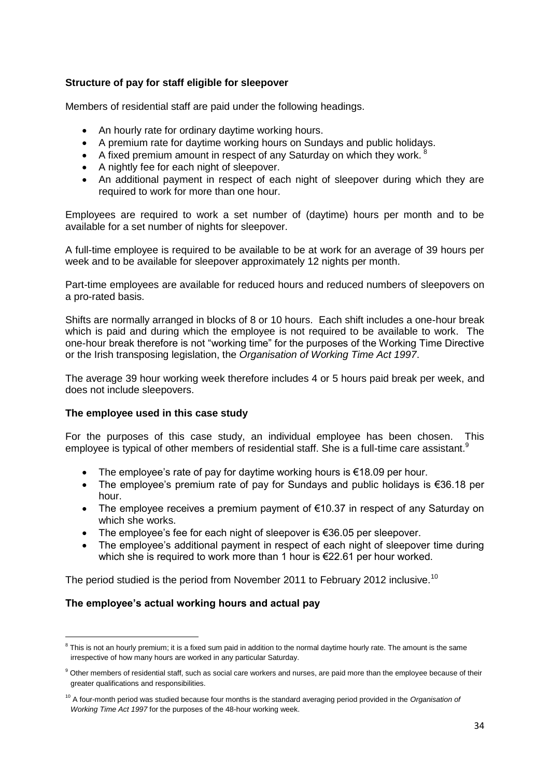# **Structure of pay for staff eligible for sleepover**

Members of residential staff are paid under the following headings.

- An hourly rate for ordinary daytime working hours.
- A premium rate for daytime working hours on Sundays and public holidays.
- A fixed premium amount in respect of any Saturday on which they work.  $8$
- A nightly fee for each night of sleepover.
- An additional payment in respect of each night of sleepover during which they are required to work for more than one hour.

Employees are required to work a set number of (daytime) hours per month and to be available for a set number of nights for sleepover.

A full-time employee is required to be available to be at work for an average of 39 hours per week and to be available for sleepover approximately 12 nights per month.

Part-time employees are available for reduced hours and reduced numbers of sleepovers on a pro-rated basis.

Shifts are normally arranged in blocks of 8 or 10 hours. Each shift includes a one-hour break which is paid and during which the employee is not required to be available to work. The one-hour break therefore is not "working time" for the purposes of the Working Time Directive or the Irish transposing legislation, the *Organisation of Working Time Act 1997*.

The average 39 hour working week therefore includes 4 or 5 hours paid break per week, and does not include sleepovers.

#### **The employee used in this case study**

For the purposes of this case study, an individual employee has been chosen. This employee is typical of other members of residential staff. She is a full-time care assistant. $9$ 

- The employee's rate of pay for daytime working hours is  $\epsilon$ 18.09 per hour.
- The employee's premium rate of pay for Sundays and public holidays is €36.18 per hour.
- The employee receives a premium payment of €10.37 in respect of any Saturday on which she works.
- The employee's fee for each night of sleepover is €36.05 per sleepover.
- The employee's additional payment in respect of each night of sleepover time during which she is required to work more than 1 hour is €22.61 per hour worked.

The period studied is the period from November 2011 to February 2012 inclusive.<sup>10</sup>

# **The employee's actual working hours and actual pay**

1

<sup>&</sup>lt;sup>8</sup> This is not an hourly premium; it is a fixed sum paid in addition to the normal daytime hourly rate. The amount is the same irrespective of how many hours are worked in any particular Saturday.

<sup>&</sup>lt;sup>9</sup> Other members of residential staff, such as social care workers and nurses, are paid more than the employee because of their greater qualifications and responsibilities.

<sup>10</sup> A four-month period was studied because four months is the standard averaging period provided in the *Organisation of Working Time Act 1997* for the purposes of the 48-hour working week.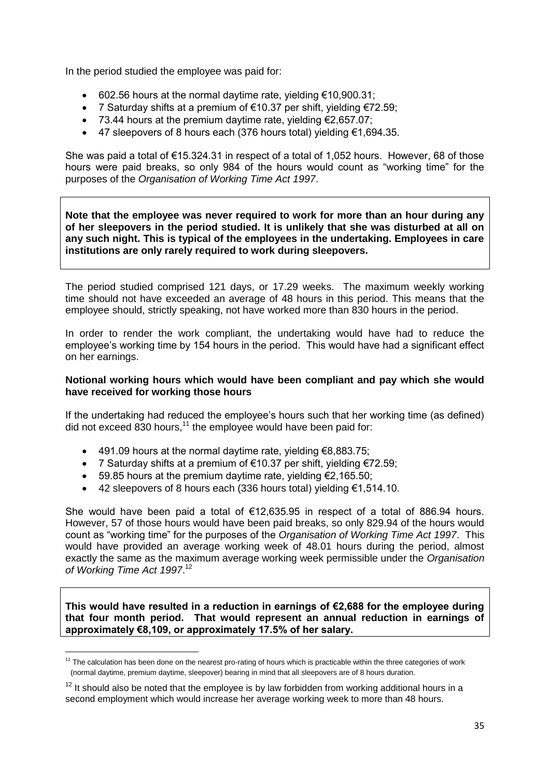In the period studied the employee was paid for:

- $\bullet$  602.56 hours at the normal daytime rate, yielding €10,900.31;
- 7 Saturday shifts at a premium of €10.37 per shift, yielding €72.59;
- $\bullet$  73.44 hours at the premium daytime rate, yielding €2,657.07;
- 47 sleepovers of 8 hours each (376 hours total) yielding €1,694.35.

She was paid a total of €15.324.31 in respect of a total of 1,052 hours. However, 68 of those hours were paid breaks, so only 984 of the hours would count as "working time" for the purposes of the *Organisation of Working Time Act 1997*.

**Note that the employee was never required to work for more than an hour during any of her sleepovers in the period studied. It is unlikely that she was disturbed at all on any such night. This is typical of the employees in the undertaking. Employees in care institutions are only rarely required to work during sleepovers.**

The period studied comprised 121 days, or 17.29 weeks. The maximum weekly working time should not have exceeded an average of 48 hours in this period. This means that the employee should, strictly speaking, not have worked more than 830 hours in the period.

In order to render the work compliant, the undertaking would have had to reduce the emplovee's working time by 154 hours in the period. This would have had a significant effect on her earnings.

#### **Notional working hours which would have been compliant and pay which she would have received for working those hours**

If the undertaking had reduced the employee's hours such that her working time (as defined) did not exceed  $830$  hours,<sup>11</sup> the employee would have been paid for:

- 491.09 hours at the normal daytime rate, yielding €8,883.75;
- 7 Saturday shifts at a premium of €10.37 per shift, yielding €72.59;
- $\bullet$  59.85 hours at the premium daytime rate, yielding €2,165.50;

**.** 

42 sleepovers of 8 hours each (336 hours total) yielding €1,514.10.

She would have been paid a total of  $€12.635.95$  in respect of a total of 886.94 hours. However, 57 of those hours would have been paid breaks, so only 829.94 of the hours would count as "working time" for the purposes of the *Organisation of Working Time Act 1997*. This would have provided an average working week of 48.01 hours during the period, almost exactly the same as the maximum average working week permissible under the *Organisation of Working Time Act 1997*. 12

**This would have resulted in a reduction in earnings of €2,688 for the employee during that four month period. That would represent an annual reduction in earnings of approximately €8,109, or approximately 17.5% of her salary.**

 $11$  The calculation has been done on the nearest pro-rating of hours which is practicable within the three categories of work (normal daytime, premium daytime, sleepover) bearing in mind that all sleepovers are of 8 hours duration.

 $12$  It should also be noted that the employee is by law forbidden from working additional hours in a second employment which would increase her average working week to more than 48 hours.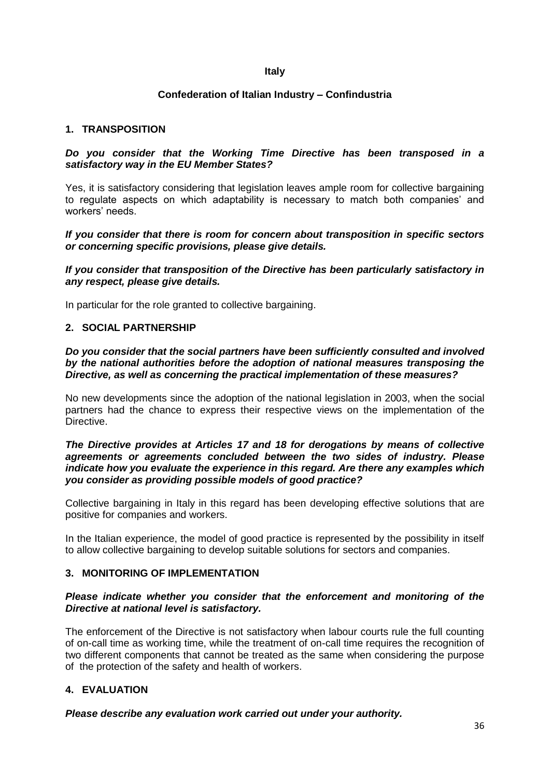#### **Italy**

# **Confederation of Italian Industry – Confindustria**

# **1. TRANSPOSITION**

#### *Do you consider that the Working Time Directive has been transposed in a satisfactory way in the EU Member States?*

Yes, it is satisfactory considering that legislation leaves ample room for collective bargaining to regulate aspects on which adaptability is necessary to match both companies" and workers' needs.

*If you consider that there is room for concern about transposition in specific sectors or concerning specific provisions, please give details.*

*If you consider that transposition of the Directive has been particularly satisfactory in any respect, please give details.*

In particular for the role granted to collective bargaining.

#### **2. SOCIAL PARTNERSHIP**

#### *Do you consider that the social partners have been sufficiently consulted and involved by the national authorities before the adoption of national measures transposing the Directive, as well as concerning the practical implementation of these measures?*

No new developments since the adoption of the national legislation in 2003, when the social partners had the chance to express their respective views on the implementation of the Directive.

#### *The Directive provides at Articles 17 and 18 for derogations by means of collective agreements or agreements concluded between the two sides of industry. Please indicate how you evaluate the experience in this regard. Are there any examples which you consider as providing possible models of good practice?*

Collective bargaining in Italy in this regard has been developing effective solutions that are positive for companies and workers.

In the Italian experience, the model of good practice is represented by the possibility in itself to allow collective bargaining to develop suitable solutions for sectors and companies.

### **3. MONITORING OF IMPLEMENTATION**

#### *Please indicate whether you consider that the enforcement and monitoring of the Directive at national level is satisfactory.*

The enforcement of the Directive is not satisfactory when labour courts rule the full counting of on-call time as working time, while the treatment of on-call time requires the recognition of two different components that cannot be treated as the same when considering the purpose of the protection of the safety and health of workers.

# **4. EVALUATION**

*Please describe any evaluation work carried out under your authority.*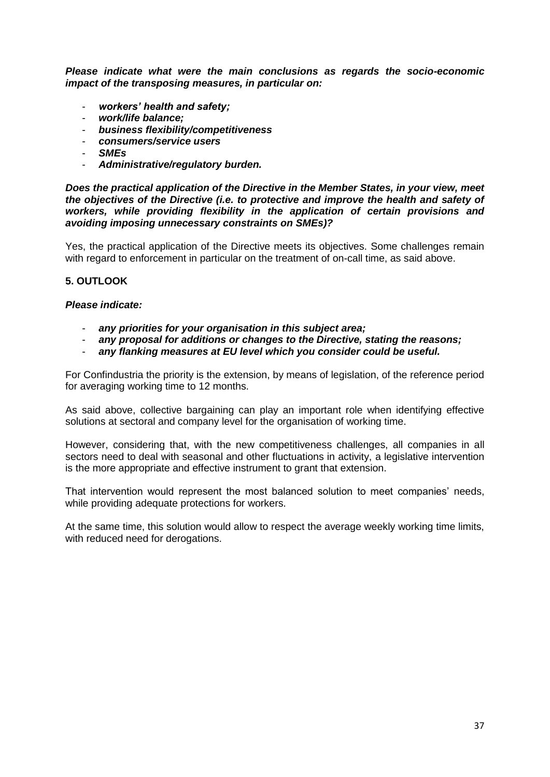*Please indicate what were the main conclusions as regards the socio-economic impact of the transposing measures, in particular on:*

- *workers' health and safety;*
- *work/life balance;*
- *business flexibility/competitiveness*
- *consumers/service users*
- *SMEs*
- *Administrative/regulatory burden.*

*Does the practical application of the Directive in the Member States, in your view, meet the objectives of the Directive (i.e. to protective and improve the health and safety of workers, while providing flexibility in the application of certain provisions and avoiding imposing unnecessary constraints on SMEs)?*

Yes, the practical application of the Directive meets its objectives. Some challenges remain with regard to enforcement in particular on the treatment of on-call time, as said above.

# **5. OUTLOOK**

#### *Please indicate:*

- *any priorities for your organisation in this subject area;*
- *any proposal for additions or changes to the Directive, stating the reasons;*
- *any flanking measures at EU level which you consider could be useful.*

For Confindustria the priority is the extension, by means of legislation, of the reference period for averaging working time to 12 months.

As said above, collective bargaining can play an important role when identifying effective solutions at sectoral and company level for the organisation of working time.

However, considering that, with the new competitiveness challenges, all companies in all sectors need to deal with seasonal and other fluctuations in activity, a legislative intervention is the more appropriate and effective instrument to grant that extension.

That intervention would represent the most balanced solution to meet companies' needs, while providing adequate protections for workers.

At the same time, this solution would allow to respect the average weekly working time limits, with reduced need for derogations.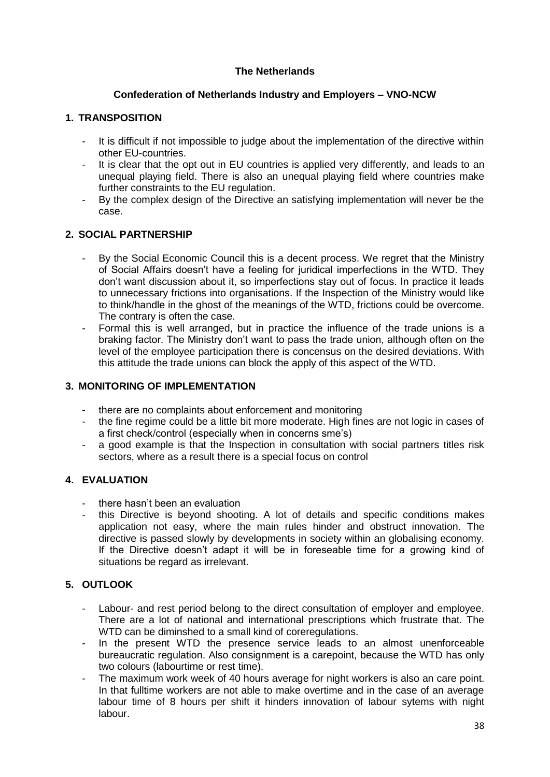# **The Netherlands**

# **Confederation of Netherlands Industry and Employers – VNO-NCW**

# **1. TRANSPOSITION**

- It is difficult if not impossible to judge about the implementation of the directive within other EU-countries.
- It is clear that the opt out in EU countries is applied very differently, and leads to an unequal playing field. There is also an unequal playing field where countries make further constraints to the EU regulation.
- By the complex design of the Directive an satisfying implementation will never be the case.

# **2. SOCIAL PARTNERSHIP**

- By the Social Economic Council this is a decent process. We regret that the Ministry of Social Affairs doesn"t have a feeling for juridical imperfections in the WTD. They don"t want discussion about it, so imperfections stay out of focus. In practice it leads to unnecessary frictions into organisations. If the Inspection of the Ministry would like to think/handle in the ghost of the meanings of the WTD, frictions could be overcome. The contrary is often the case.
- Formal this is well arranged, but in practice the influence of the trade unions is a braking factor. The Ministry don"t want to pass the trade union, although often on the level of the employee participation there is concensus on the desired deviations. With this attitude the trade unions can block the apply of this aspect of the WTD.

# **3. MONITORING OF IMPLEMENTATION**

- there are no complaints about enforcement and monitoring
- the fine regime could be a little bit more moderate. High fines are not logic in cases of a first check/control (especially when in concerns sme"s)
- a good example is that the Inspection in consultation with social partners titles risk sectors, where as a result there is a special focus on control

# **4. EVALUATION**

- there hasn't been an evaluation
- this Directive is beyond shooting. A lot of details and specific conditions makes application not easy, where the main rules hinder and obstruct innovation. The directive is passed slowly by developments in society within an globalising economy. If the Directive doesn"t adapt it will be in foreseable time for a growing kind of situations be regard as irrelevant.

# **5. OUTLOOK**

- Labour- and rest period belong to the direct consultation of employer and employee. There are a lot of national and international prescriptions which frustrate that. The WTD can be diminshed to a small kind of coreregulations.
- In the present WTD the presence service leads to an almost unenforceable bureaucratic regulation. Also consignment is a carepoint, because the WTD has only two colours (labourtime or rest time).
- The maximum work week of 40 hours average for night workers is also an care point. In that fulltime workers are not able to make overtime and in the case of an average labour time of 8 hours per shift it hinders innovation of labour sytems with night labour.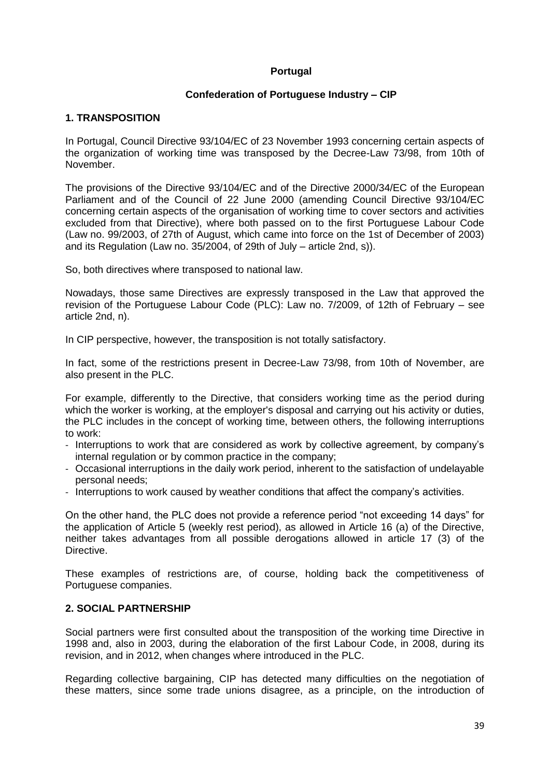### **Portugal**

### **Confederation of Portuguese Industry – CIP**

#### **1. TRANSPOSITION**

In Portugal, Council Directive 93/104/EC of 23 November 1993 concerning certain aspects of the organization of working time was transposed by the Decree-Law 73/98, from 10th of November.

The provisions of the Directive 93/104/EC and of the Directive 2000/34/EC of the European Parliament and of the Council of 22 June 2000 (amending Council Directive 93/104/EC concerning certain aspects of the organisation of working time to cover sectors and activities excluded from that Directive), where both passed on to the first Portuguese Labour Code (Law no. 99/2003, of 27th of August, which came into force on the 1st of December of 2003) and its Regulation (Law no. 35/2004, of 29th of July – article 2nd, s)).

So, both directives where transposed to national law.

Nowadays, those same Directives are expressly transposed in the Law that approved the revision of the Portuguese Labour Code (PLC): Law no. 7/2009, of 12th of February – see article 2nd, n).

In CIP perspective, however, the transposition is not totally satisfactory.

In fact, some of the restrictions present in Decree-Law 73/98, from 10th of November, are also present in the PLC.

For example, differently to the Directive, that considers working time as the period during which the worker is working, at the employer's disposal and carrying out his activity or duties, the PLC includes in the concept of working time, between others, the following interruptions to work:

- Interruptions to work that are considered as work by collective agreement, by company"s internal regulation or by common practice in the company;
- Occasional interruptions in the daily work period, inherent to the satisfaction of undelayable personal needs;
- Interruptions to work caused by weather conditions that affect the company"s activities.

On the other hand, the PLC does not provide a reference period "not exceeding 14 days" for the application of Article 5 (weekly rest period), as allowed in Article 16 (a) of the Directive, neither takes advantages from all possible derogations allowed in article 17 (3) of the Directive.

These examples of restrictions are, of course, holding back the competitiveness of Portuguese companies.

#### **2. SOCIAL PARTNERSHIP**

Social partners were first consulted about the transposition of the working time Directive in 1998 and, also in 2003, during the elaboration of the first Labour Code, in 2008, during its revision, and in 2012, when changes where introduced in the PLC.

Regarding collective bargaining, CIP has detected many difficulties on the negotiation of these matters, since some trade unions disagree, as a principle, on the introduction of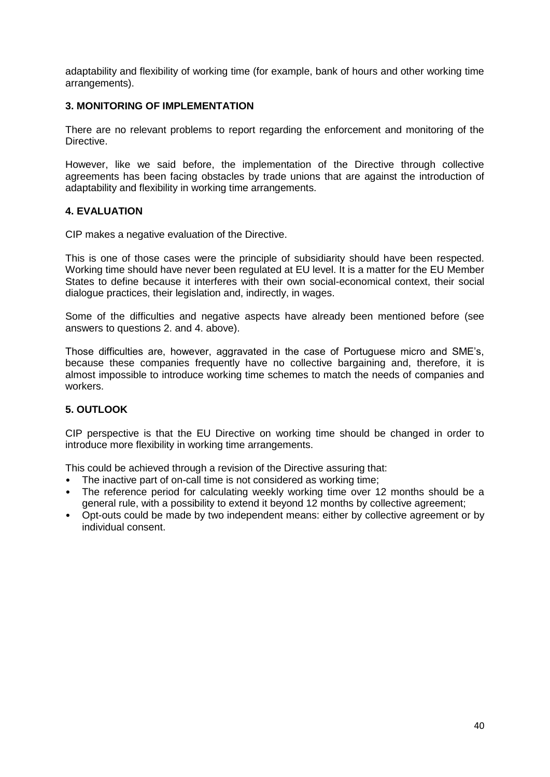adaptability and flexibility of working time (for example, bank of hours and other working time arrangements).

# **3. MONITORING OF IMPLEMENTATION**

There are no relevant problems to report regarding the enforcement and monitoring of the **Directive** 

However, like we said before, the implementation of the Directive through collective agreements has been facing obstacles by trade unions that are against the introduction of adaptability and flexibility in working time arrangements.

# **4. EVALUATION**

CIP makes a negative evaluation of the Directive.

This is one of those cases were the principle of subsidiarity should have been respected. Working time should have never been regulated at EU level. It is a matter for the EU Member States to define because it interferes with their own social-economical context, their social dialogue practices, their legislation and, indirectly, in wages.

Some of the difficulties and negative aspects have already been mentioned before (see answers to questions 2. and 4. above).

Those difficulties are, however, aggravated in the case of Portuguese micro and SME"s, because these companies frequently have no collective bargaining and, therefore, it is almost impossible to introduce working time schemes to match the needs of companies and workers.

# **5. OUTLOOK**

CIP perspective is that the EU Directive on working time should be changed in order to introduce more flexibility in working time arrangements.

This could be achieved through a revision of the Directive assuring that:

- The inactive part of on-call time is not considered as working time;
- The reference period for calculating weekly working time over 12 months should be a general rule, with a possibility to extend it beyond 12 months by collective agreement;
- Opt-outs could be made by two independent means: either by collective agreement or by individual consent.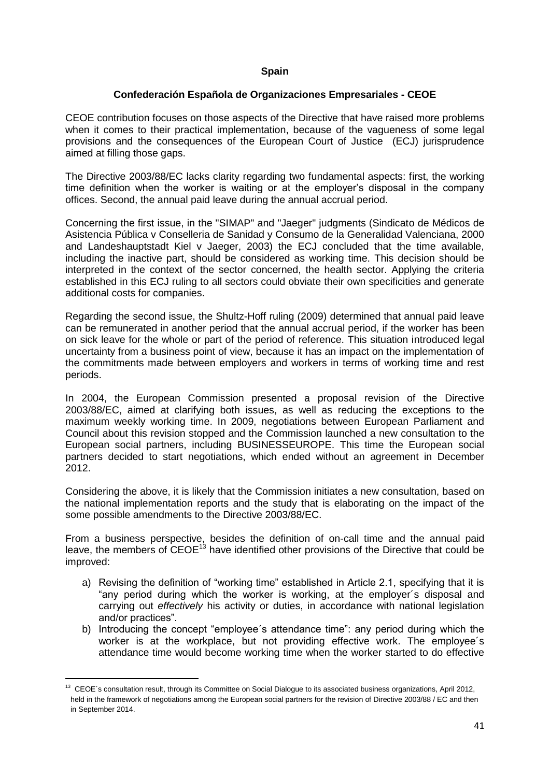# **Spain**

# **Confederación Española de Organizaciones Empresariales - CEOE**

CEOE contribution focuses on those aspects of the Directive that have raised more problems when it comes to their practical implementation, because of the vagueness of some legal provisions and the consequences of the European Court of Justice (ECJ) jurisprudence aimed at filling those gaps.

The Directive 2003/88/EC lacks clarity regarding two fundamental aspects: first, the working time definition when the worker is waiting or at the employer"s disposal in the company offices. Second, the annual paid leave during the annual accrual period.

Concerning the first issue, in the "SIMAP" and "Jaeger" judgments (Sindicato de Médicos de Asistencia Pública v Conselleria de Sanidad y Consumo de la Generalidad Valenciana, 2000 and Landeshauptstadt Kiel v Jaeger, 2003) the ECJ concluded that the time available, including the inactive part, should be considered as working time. This decision should be interpreted in the context of the sector concerned, the health sector. Applying the criteria established in this ECJ ruling to all sectors could obviate their own specificities and generate additional costs for companies.

Regarding the second issue, the Shultz-Hoff ruling (2009) determined that annual paid leave can be remunerated in another period that the annual accrual period, if the worker has been on sick leave for the whole or part of the period of reference. This situation introduced legal uncertainty from a business point of view, because it has an impact on the implementation of the commitments made between employers and workers in terms of working time and rest periods.

In 2004, the European Commission presented a proposal revision of the Directive 2003/88/EC, aimed at clarifying both issues, as well as reducing the exceptions to the maximum weekly working time. In 2009, negotiations between European Parliament and Council about this revision stopped and the Commission launched a new consultation to the European social partners, including BUSINESSEUROPE. This time the European social partners decided to start negotiations, which ended without an agreement in December 2012.

Considering the above, it is likely that the Commission initiates a new consultation, based on the national implementation reports and the study that is elaborating on the impact of the some possible amendments to the Directive 2003/88/EC.

From a business perspective, besides the definition of on-call time and the annual paid leave, the members of CEOE<sup>13</sup> have identified other provisions of the Directive that could be improved:

- a) Revising the definition of "working time" established in Article 2.1, specifying that it is "any period during which the worker is working, at the employer´s disposal and carrying out *effectively* his activity or duties, in accordance with national legislation and/or practices".
- b) Introducing the concept "employee´s attendance time": any period during which the worker is at the workplace, but not providing effective work. The employee´s attendance time would become working time when the worker started to do effective

1

<sup>&</sup>lt;sup>13</sup> CEOE's consultation result, through its Committee on Social Dialogue to its associated business organizations, April 2012, held in the framework of negotiations among the European social partners for the revision of Directive 2003/88 / EC and then in September 2014.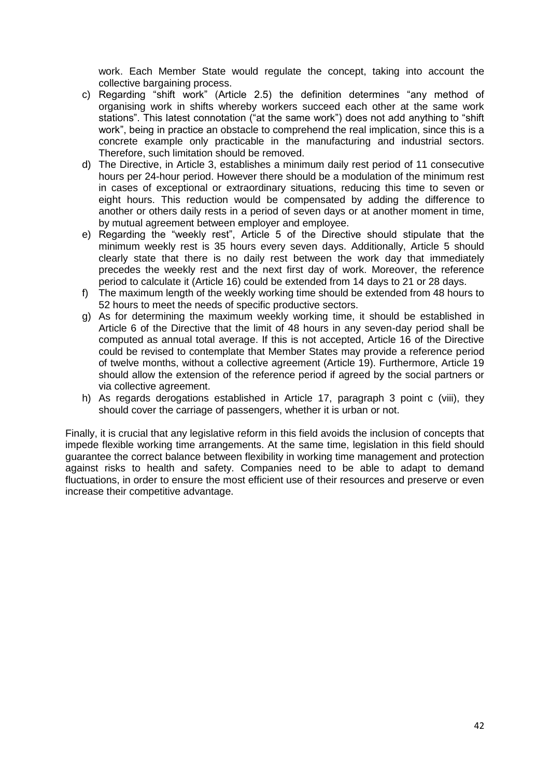work. Each Member State would regulate the concept, taking into account the collective bargaining process.

- c) Regarding "shift work" (Article 2.5) the definition determines "any method of organising work in shifts whereby workers succeed each other at the same work stations". This latest connotation ("at the same work") does not add anything to "shift work", being in practice an obstacle to comprehend the real implication, since this is a concrete example only practicable in the manufacturing and industrial sectors. Therefore, such limitation should be removed.
- d) The Directive, in Article 3, establishes a minimum daily rest period of 11 consecutive hours per 24-hour period. However there should be a modulation of the minimum rest in cases of exceptional or extraordinary situations, reducing this time to seven or eight hours. This reduction would be compensated by adding the difference to another or others daily rests in a period of seven days or at another moment in time, by mutual agreement between employer and employee.
- e) Regarding the "weekly rest", Article 5 of the Directive should stipulate that the minimum weekly rest is 35 hours every seven days. Additionally, Article 5 should clearly state that there is no daily rest between the work day that immediately precedes the weekly rest and the next first day of work. Moreover, the reference period to calculate it (Article 16) could be extended from 14 days to 21 or 28 days.
- f) The maximum length of the weekly working time should be extended from 48 hours to 52 hours to meet the needs of specific productive sectors.
- g) As for determining the maximum weekly working time, it should be established in Article 6 of the Directive that the limit of 48 hours in any seven-day period shall be computed as annual total average. If this is not accepted, Article 16 of the Directive could be revised to contemplate that Member States may provide a reference period of twelve months, without a collective agreement (Article 19). Furthermore, Article 19 should allow the extension of the reference period if agreed by the social partners or via collective agreement.
- h) As regards derogations established in Article 17, paragraph 3 point c (viii), they should cover the carriage of passengers, whether it is urban or not.

Finally, it is crucial that any legislative reform in this field avoids the inclusion of concepts that impede flexible working time arrangements. At the same time, legislation in this field should guarantee the correct balance between flexibility in working time management and protection against risks to health and safety. Companies need to be able to adapt to demand fluctuations, in order to ensure the most efficient use of their resources and preserve or even increase their competitive advantage.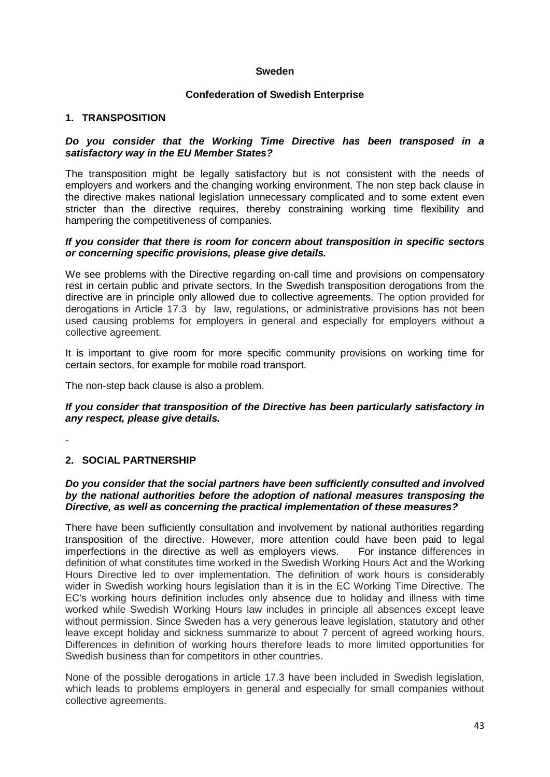## **Sweden**

### **Confederation of Swedish Enterprise**

### **1. TRANSPOSITION**

#### *Do you consider that the Working Time Directive has been transposed in a satisfactory way in the EU Member States?*

The transposition might be legally satisfactory but is not consistent with the needs of employers and workers and the changing working environment. The non step back clause in the directive makes national legislation unnecessary complicated and to some extent even stricter than the directive requires, thereby constraining working time flexibility and hampering the competitiveness of companies.

#### *If you consider that there is room for concern about transposition in specific sectors or concerning specific provisions, please give details.*

We see problems with the Directive regarding on-call time and provisions on compensatory rest in certain public and private sectors. In the Swedish transposition derogations from the directive are in principle only allowed due to collective agreements. The option provided for derogations in Article 17.3 by law, regulations, or administrative provisions has not been used causing problems for employers in general and especially for employers without a collective agreement.

It is important to give room for more specific community provisions on working time for certain sectors, for example for mobile road transport.

The non-step back clause is also a problem.

#### *If you consider that transposition of the Directive has been particularly satisfactory in any respect, please give details.*

-

# **2. SOCIAL PARTNERSHIP**

# *Do you consider that the social partners have been sufficiently consulted and involved by the national authorities before the adoption of national measures transposing the Directive, as well as concerning the practical implementation of these measures?*

There have been sufficiently consultation and involvement by national authorities regarding transposition of the directive. However, more attention could have been paid to legal imperfections in the directive as well as employers views. For instance differences in definition of what constitutes time worked in the Swedish Working Hours Act and the Working Hours Directive led to over implementation. The definition of work hours is considerably wider in Swedish working hours legislation than it is in the EC Working Time Directive. The EC's working hours definition includes only absence due to holiday and illness with time worked while Swedish Working Hours law includes in principle all absences except leave without permission. Since Sweden has a very generous leave legislation, statutory and other leave except holiday and sickness summarize to about 7 percent of agreed working hours. Differences in definition of working hours therefore leads to more limited opportunities for Swedish business than for competitors in other countries.

None of the possible derogations in article 17.3 have been included in Swedish legislation, which leads to problems employers in general and especially for small companies without collective agreements.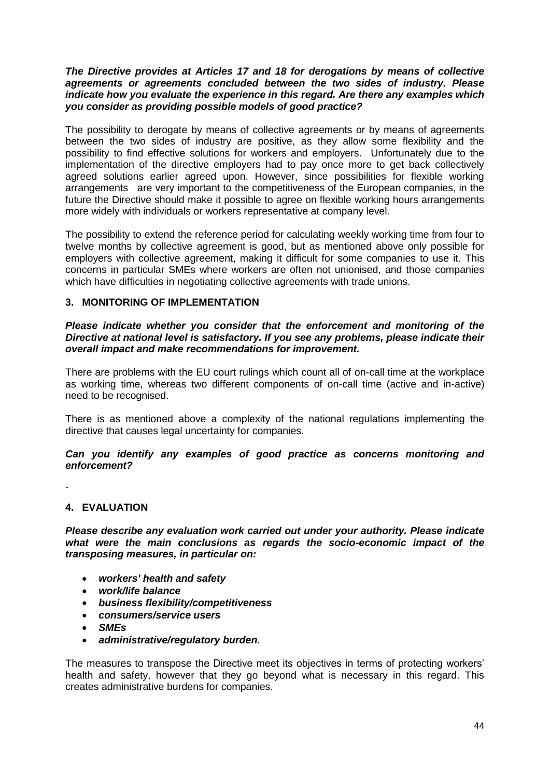#### *The Directive provides at Articles 17 and 18 for derogations by means of collective agreements or agreements concluded between the two sides of industry. Please indicate how you evaluate the experience in this regard. Are there any examples which you consider as providing possible models of good practice?*

The possibility to derogate by means of collective agreements or by means of agreements between the two sides of industry are positive, as they allow some flexibility and the possibility to find effective solutions for workers and employers. Unfortunately due to the implementation of the directive employers had to pay once more to get back collectively agreed solutions earlier agreed upon. However, since possibilities for flexible working arrangements are very important to the competitiveness of the European companies, in the future the Directive should make it possible to agree on flexible working hours arrangements more widely with individuals or workers representative at company level.

The possibility to extend the reference period for calculating weekly working time from four to twelve months by collective agreement is good, but as mentioned above only possible for employers with collective agreement, making it difficult for some companies to use it. This concerns in particular SMEs where workers are often not unionised, and those companies which have difficulties in negotiating collective agreements with trade unions.

# **3. MONITORING OF IMPLEMENTATION**

### *Please indicate whether you consider that the enforcement and monitoring of the Directive at national level is satisfactory. If you see any problems, please indicate their overall impact and make recommendations for improvement.*

There are problems with the EU court rulings which count all of on-call time at the workplace as working time, whereas two different components of on-call time (active and in-active) need to be recognised.

There is as mentioned above a complexity of the national regulations implementing the directive that causes legal uncertainty for companies.

*Can you identify any examples of good practice as concerns monitoring and enforcement?* 

-

# **4. EVALUATION**

*Please describe any evaluation work carried out under your authority. Please indicate what were the main conclusions as regards the socio-economic impact of the transposing measures, in particular on:*

- *workers' health and safety*
- *work/life balance*
- *business flexibility/competitiveness*
- *consumers/service users*
- *SMEs*
- *administrative/regulatory burden.*

The measures to transpose the Directive meet its objectives in terms of protecting workers" health and safety, however that they go beyond what is necessary in this regard. This creates administrative burdens for companies.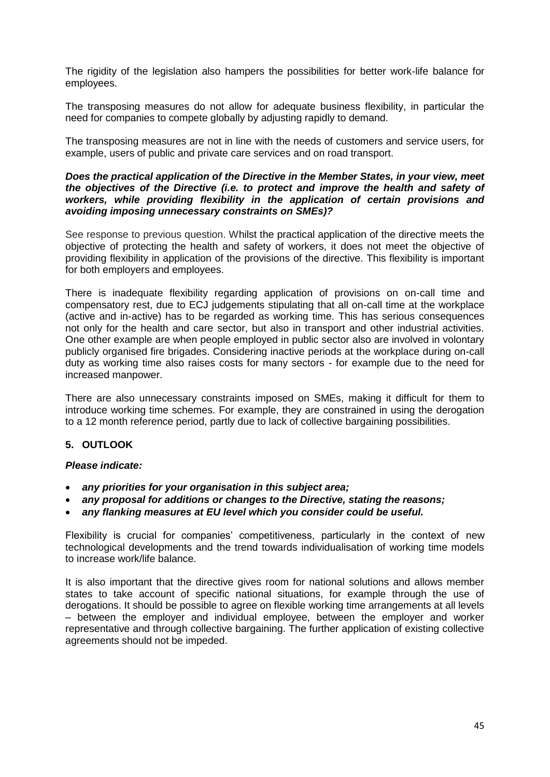The rigidity of the legislation also hampers the possibilities for better work-life balance for employees.

The transposing measures do not allow for adequate business flexibility, in particular the need for companies to compete globally by adjusting rapidly to demand.

The transposing measures are not in line with the needs of customers and service users, for example, users of public and private care services and on road transport.

#### *Does the practical application of the Directive in the Member States, in your view, meet the objectives of the Directive (i.e. to protect and improve the health and safety of workers, while providing flexibility in the application of certain provisions and avoiding imposing unnecessary constraints on SMEs)?*

See response to previous question. Whilst the practical application of the directive meets the objective of protecting the health and safety of workers, it does not meet the objective of providing flexibility in application of the provisions of the directive. This flexibility is important for both employers and employees.

There is inadequate flexibility regarding application of provisions on on-call time and compensatory rest, due to ECJ judgements stipulating that all on-call time at the workplace (active and in-active) has to be regarded as working time. This has serious consequences not only for the health and care sector, but also in transport and other industrial activities. One other example are when people employed in public sector also are involved in volontary publicly organised fire brigades. Considering inactive periods at the workplace during on-call duty as working time also raises costs for many sectors - for example due to the need for increased manpower.

There are also unnecessary constraints imposed on SMEs, making it difficult for them to introduce working time schemes. For example, they are constrained in using the derogation to a 12 month reference period, partly due to lack of collective bargaining possibilities.

# **5. OUTLOOK**

# *Please indicate:*

- *any priorities for your organisation in this subject area;*
- *any proposal for additions or changes to the Directive, stating the reasons;*
- *any flanking measures at EU level which you consider could be useful.*

Flexibility is crucial for companies' competitiveness, particularly in the context of new technological developments and the trend towards individualisation of working time models to increase work/life balance.

It is also important that the directive gives room for national solutions and allows member states to take account of specific national situations, for example through the use of derogations. It should be possible to agree on flexible working time arrangements at all levels – between the employer and individual employee, between the employer and worker representative and through collective bargaining. The further application of existing collective agreements should not be impeded.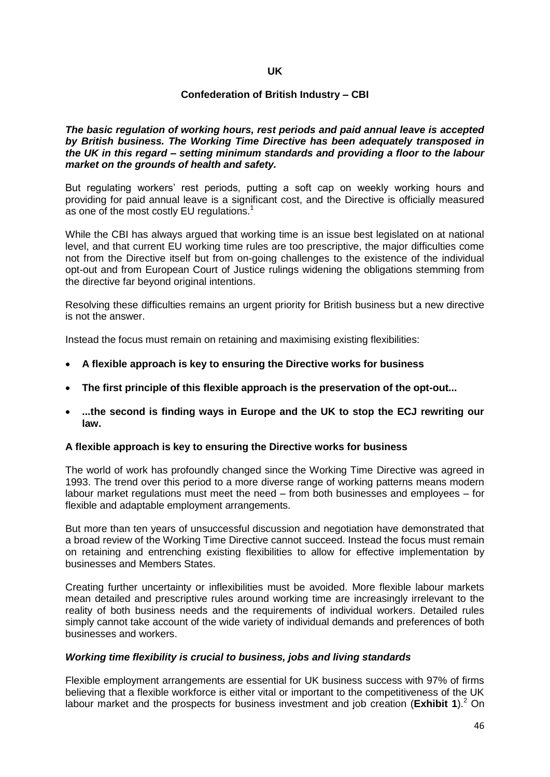### **UK**

#### **Confederation of British Industry – CBI**

*The basic regulation of working hours, rest periods and paid annual leave is accepted by British business. The Working Time Directive has been adequately transposed in the UK in this regard – setting minimum standards and providing a floor to the labour market on the grounds of health and safety.*

But regulating workers' rest periods, putting a soft cap on weekly working hours and providing for paid annual leave is a significant cost, and the Directive is officially measured as one of the most costly EU regulations.<sup>1</sup>

While the CBI has always argued that working time is an issue best legislated on at national level, and that current EU working time rules are too prescriptive, the major difficulties come not from the Directive itself but from on-going challenges to the existence of the individual opt-out and from European Court of Justice rulings widening the obligations stemming from the directive far beyond original intentions.

Resolving these difficulties remains an urgent priority for British business but a new directive is not the answer.

Instead the focus must remain on retaining and maximising existing flexibilities:

- **A flexible approach is key to ensuring the Directive works for business**
- **The first principle of this flexible approach is the preservation of the opt-out...**
- **...the second is finding ways in Europe and the UK to stop the ECJ rewriting our law.**

#### **A flexible approach is key to ensuring the Directive works for business**

The world of work has profoundly changed since the Working Time Directive was agreed in 1993. The trend over this period to a more diverse range of working patterns means modern labour market regulations must meet the need – from both businesses and employees – for flexible and adaptable employment arrangements.

But more than ten years of unsuccessful discussion and negotiation have demonstrated that a broad review of the Working Time Directive cannot succeed. Instead the focus must remain on retaining and entrenching existing flexibilities to allow for effective implementation by businesses and Members States.

Creating further uncertainty or inflexibilities must be avoided. More flexible labour markets mean detailed and prescriptive rules around working time are increasingly irrelevant to the reality of both business needs and the requirements of individual workers. Detailed rules simply cannot take account of the wide variety of individual demands and preferences of both businesses and workers.

#### *Working time flexibility is crucial to business, jobs and living standards*

Flexible employment arrangements are essential for UK business success with 97% of firms believing that a flexible workforce is either vital or important to the competitiveness of the UK labour market and the prospects for business investment and job creation (**Exhibit 1**).<sup>2</sup> On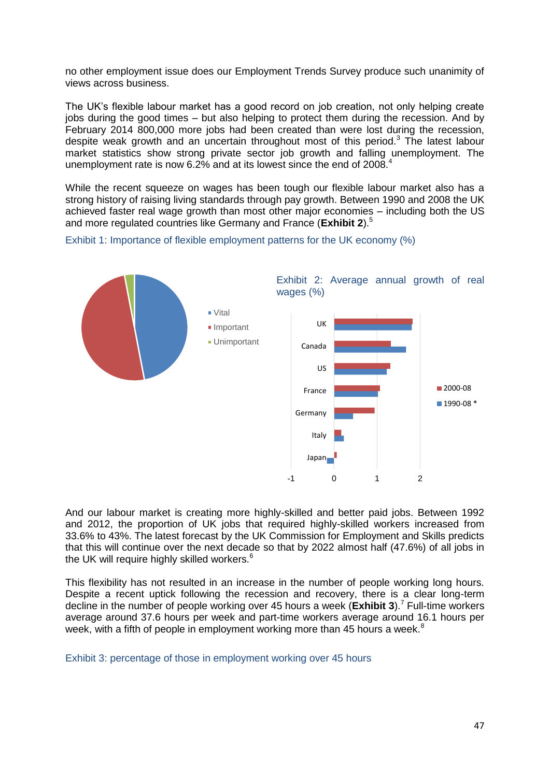no other employment issue does our Employment Trends Survey produce such unanimity of views across business.

The UK"s flexible labour market has a good record on job creation, not only helping create jobs during the good times – but also helping to protect them during the recession. And by February 2014 800,000 more jobs had been created than were lost during the recession, despite weak growth and an uncertain throughout most of this period.<sup>3</sup> The latest labour market statistics show strong private sector job growth and falling unemployment. The unemployment rate is now 6.2% and at its lowest since the end of 2008.<sup>4</sup>

While the recent squeeze on wages has been tough our flexible labour market also has a strong history of raising living standards through pay growth. Between 1990 and 2008 the UK achieved faster real wage growth than most other major economies – including both the US and more regulated countries like Germany and France (**Exhibit 2**).<sup>5</sup>

Exhibit 1: Importance of flexible employment patterns for the UK economy (%)



And our labour market is creating more highly-skilled and better paid jobs. Between 1992 and 2012, the proportion of UK jobs that required highly-skilled workers increased from 33.6% to 43%. The latest forecast by the UK Commission for Employment and Skills predicts that this will continue over the next decade so that by 2022 almost half (47.6%) of all jobs in the UK will require highly skilled workers. $6$ 

This flexibility has not resulted in an increase in the number of people working long hours. Despite a recent uptick following the recession and recovery, there is a clear long-term decline in the number of people working over 45 hours a week (**Exhibit 3**).<sup>7</sup> Full-time workers average around 37.6 hours per week and part-time workers average around 16.1 hours per week, with a fifth of people in employment working more than 45 hours a week.<sup>8</sup>

Exhibit 3: percentage of those in employment working over 45 hours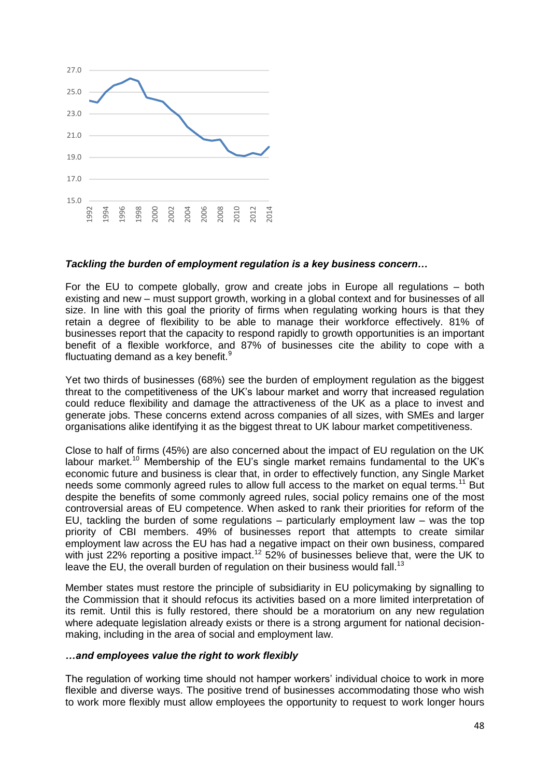

# *Tackling the burden of employment regulation is a key business concern…*

For the EU to compete globally, grow and create jobs in Europe all regulations – both existing and new – must support growth, working in a global context and for businesses of all size. In line with this goal the priority of firms when regulating working hours is that they retain a degree of flexibility to be able to manage their workforce effectively. 81% of businesses report that the capacity to respond rapidly to growth opportunities is an important benefit of a flexible workforce, and 87% of businesses cite the ability to cope with a fluctuating demand as a key benefit.<sup>9</sup>

Yet two thirds of businesses (68%) see the burden of employment regulation as the biggest threat to the competitiveness of the UK"s labour market and worry that increased regulation could reduce flexibility and damage the attractiveness of the UK as a place to invest and generate jobs. These concerns extend across companies of all sizes, with SMEs and larger organisations alike identifying it as the biggest threat to UK labour market competitiveness.

Close to half of firms (45%) are also concerned about the impact of EU regulation on the UK labour market.<sup>10</sup> Membership of the EU's single market remains fundamental to the UK's economic future and business is clear that, in order to effectively function, any Single Market needs some commonly agreed rules to allow full access to the market on equal terms.<sup>11</sup> But despite the benefits of some commonly agreed rules, social policy remains one of the most controversial areas of EU competence. When asked to rank their priorities for reform of the EU, tackling the burden of some regulations – particularly employment law – was the top priority of CBI members. 49% of businesses report that attempts to create similar employment law across the EU has had a negative impact on their own business, compared with just 22% reporting a positive impact.<sup>12</sup> 52% of businesses believe that, were the UK to leave the EU, the overall burden of regulation on their business would fall.<sup>13</sup>

Member states must restore the principle of subsidiarity in EU policymaking by signalling to the Commission that it should refocus its activities based on a more limited interpretation of its remit. Until this is fully restored, there should be a moratorium on any new regulation where adequate legislation already exists or there is a strong argument for national decisionmaking, including in the area of social and employment law.

#### *…and employees value the right to work flexibly*

The regulation of working time should not hamper workers" individual choice to work in more flexible and diverse ways. The positive trend of businesses accommodating those who wish to work more flexibly must allow employees the opportunity to request to work longer hours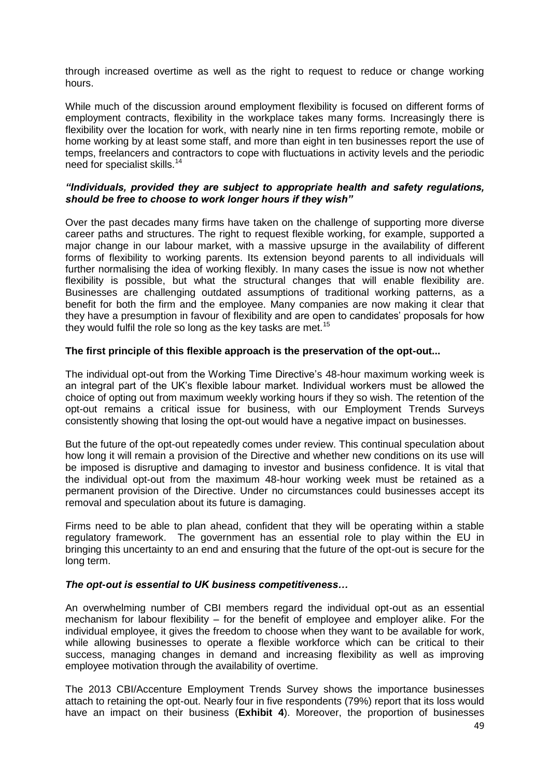through increased overtime as well as the right to request to reduce or change working hours.

While much of the discussion around employment flexibility is focused on different forms of employment contracts, flexibility in the workplace takes many forms. Increasingly there is flexibility over the location for work, with nearly nine in ten firms reporting remote, mobile or home working by at least some staff, and more than eight in ten businesses report the use of temps, freelancers and contractors to cope with fluctuations in activity levels and the periodic need for specialist skills.<sup>14</sup>

### *"Individuals, provided they are subject to appropriate health and safety regulations, should be free to choose to work longer hours if they wish"*

Over the past decades many firms have taken on the challenge of supporting more diverse career paths and structures. The right to request flexible working, for example, supported a major change in our labour market, with a massive upsurge in the availability of different forms of flexibility to working parents. Its extension beyond parents to all individuals will further normalising the idea of working flexibly. In many cases the issue is now not whether flexibility is possible, but what the structural changes that will enable flexibility are. Businesses are challenging outdated assumptions of traditional working patterns, as a benefit for both the firm and the employee. Many companies are now making it clear that they have a presumption in favour of flexibility and are open to candidates" proposals for how they would fulfil the role so long as the key tasks are met.<sup>15</sup>

#### **The first principle of this flexible approach is the preservation of the opt-out...**

The individual opt-out from the Working Time Directive"s 48-hour maximum working week is an integral part of the UK"s flexible labour market. Individual workers must be allowed the choice of opting out from maximum weekly working hours if they so wish. The retention of the opt-out remains a critical issue for business, with our Employment Trends Surveys consistently showing that losing the opt-out would have a negative impact on businesses.

But the future of the opt-out repeatedly comes under review. This continual speculation about how long it will remain a provision of the Directive and whether new conditions on its use will be imposed is disruptive and damaging to investor and business confidence. It is vital that the individual opt-out from the maximum 48-hour working week must be retained as a permanent provision of the Directive. Under no circumstances could businesses accept its removal and speculation about its future is damaging.

Firms need to be able to plan ahead, confident that they will be operating within a stable regulatory framework. The government has an essential role to play within the EU in bringing this uncertainty to an end and ensuring that the future of the opt-out is secure for the long term.

#### *The opt-out is essential to UK business competitiveness…*

An overwhelming number of CBI members regard the individual opt-out as an essential mechanism for labour flexibility – for the benefit of employee and employer alike. For the individual employee, it gives the freedom to choose when they want to be available for work, while allowing businesses to operate a flexible workforce which can be critical to their success, managing changes in demand and increasing flexibility as well as improving employee motivation through the availability of overtime.

The 2013 CBI/Accenture Employment Trends Survey shows the importance businesses attach to retaining the opt-out. Nearly four in five respondents (79%) report that its loss would have an impact on their business (**Exhibit 4**). Moreover, the proportion of businesses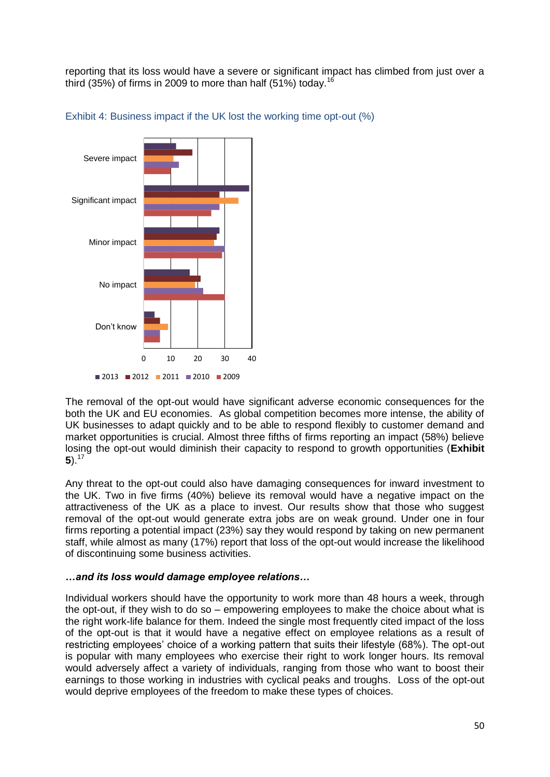reporting that its loss would have a severe or significant impact has climbed from just over a third (35%) of firms in 2009 to more than half (51%) today.<sup>16</sup>





The removal of the opt-out would have significant adverse economic consequences for the both the UK and EU economies. As global competition becomes more intense, the ability of UK businesses to adapt quickly and to be able to respond flexibly to customer demand and market opportunities is crucial. Almost three fifths of firms reporting an impact (58%) believe losing the opt-out would diminish their capacity to respond to growth opportunities (**Exhibit**  5). $17$ 

Any threat to the opt-out could also have damaging consequences for inward investment to the UK. Two in five firms (40%) believe its removal would have a negative impact on the attractiveness of the UK as a place to invest. Our results show that those who suggest removal of the opt-out would generate extra jobs are on weak ground. Under one in four firms reporting a potential impact (23%) say they would respond by taking on new permanent staff, while almost as many (17%) report that loss of the opt-out would increase the likelihood of discontinuing some business activities.

# *…and its loss would damage employee relations…*

Individual workers should have the opportunity to work more than 48 hours a week, through the opt-out, if they wish to do so – empowering employees to make the choice about what is the right work-life balance for them. Indeed the single most frequently cited impact of the loss of the opt-out is that it would have a negative effect on employee relations as a result of restricting employees" choice of a working pattern that suits their lifestyle (68%). The opt-out is popular with many employees who exercise their right to work longer hours. Its removal would adversely affect a variety of individuals, ranging from those who want to boost their earnings to those working in industries with cyclical peaks and troughs. Loss of the opt-out would deprive employees of the freedom to make these types of choices.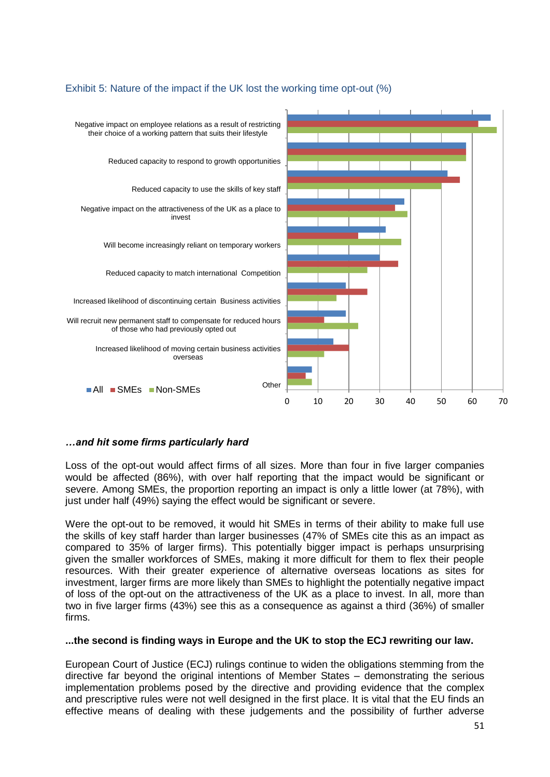

# Exhibit 5: Nature of the impact if the UK lost the working time opt-out (%)

# *…and hit some firms particularly hard*

Loss of the opt-out would affect firms of all sizes. More than four in five larger companies would be affected (86%), with over half reporting that the impact would be significant or severe. Among SMEs, the proportion reporting an impact is only a little lower (at 78%), with just under half (49%) saying the effect would be significant or severe.

Were the opt-out to be removed, it would hit SMEs in terms of their ability to make full use the skills of key staff harder than larger businesses (47% of SMEs cite this as an impact as compared to 35% of larger firms). This potentially bigger impact is perhaps unsurprising given the smaller workforces of SMEs, making it more difficult for them to flex their people resources. With their greater experience of alternative overseas locations as sites for investment, larger firms are more likely than SMEs to highlight the potentially negative impact of loss of the opt-out on the attractiveness of the UK as a place to invest. In all, more than two in five larger firms (43%) see this as a consequence as against a third (36%) of smaller firms.

#### **...the second is finding ways in Europe and the UK to stop the ECJ rewriting our law.**

European Court of Justice (ECJ) rulings continue to widen the obligations stemming from the directive far beyond the original intentions of Member States – demonstrating the serious implementation problems posed by the directive and providing evidence that the complex and prescriptive rules were not well designed in the first place. It is vital that the EU finds an effective means of dealing with these judgements and the possibility of further adverse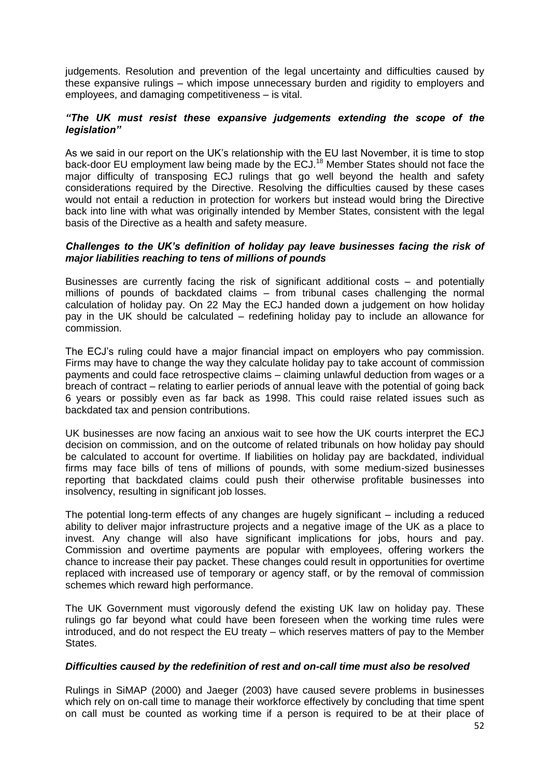judgements. Resolution and prevention of the legal uncertainty and difficulties caused by these expansive rulings – which impose unnecessary burden and rigidity to employers and employees, and damaging competitiveness – is vital.

### *"The UK must resist these expansive judgements extending the scope of the legislation"*

As we said in our report on the UK"s relationship with the EU last November, it is time to stop back-door EU employment law being made by the ECJ.<sup>18</sup> Member States should not face the major difficulty of transposing ECJ rulings that go well beyond the health and safety considerations required by the Directive. Resolving the difficulties caused by these cases would not entail a reduction in protection for workers but instead would bring the Directive back into line with what was originally intended by Member States, consistent with the legal basis of the Directive as a health and safety measure.

### *Challenges to the UK's definition of holiday pay leave businesses facing the risk of major liabilities reaching to tens of millions of pounds*

Businesses are currently facing the risk of significant additional costs – and potentially millions of pounds of backdated claims – from tribunal cases challenging the normal calculation of holiday pay. On 22 May the ECJ handed down a judgement on how holiday pay in the UK should be calculated – redefining holiday pay to include an allowance for commission.

The ECJ"s ruling could have a major financial impact on employers who pay commission. Firms may have to change the way they calculate holiday pay to take account of commission payments and could face retrospective claims – claiming unlawful deduction from wages or a breach of contract – relating to earlier periods of annual leave with the potential of going back 6 years or possibly even as far back as 1998. This could raise related issues such as backdated tax and pension contributions.

UK businesses are now facing an anxious wait to see how the UK courts interpret the ECJ decision on commission, and on the outcome of related tribunals on how holiday pay should be calculated to account for overtime. If liabilities on holiday pay are backdated, individual firms may face bills of tens of millions of pounds, with some medium-sized businesses reporting that backdated claims could push their otherwise profitable businesses into insolvency, resulting in significant job losses.

The potential long-term effects of any changes are hugely significant – including a reduced ability to deliver major infrastructure projects and a negative image of the UK as a place to invest. Any change will also have significant implications for jobs, hours and pay. Commission and overtime payments are popular with employees, offering workers the chance to increase their pay packet. These changes could result in opportunities for overtime replaced with increased use of temporary or agency staff, or by the removal of commission schemes which reward high performance.

The UK Government must vigorously defend the existing UK law on holiday pay. These rulings go far beyond what could have been foreseen when the working time rules were introduced, and do not respect the EU treaty – which reserves matters of pay to the Member States.

# *Difficulties caused by the redefinition of rest and on-call time must also be resolved*

Rulings in SiMAP (2000) and Jaeger (2003) have caused severe problems in businesses which rely on on-call time to manage their workforce effectively by concluding that time spent on call must be counted as working time if a person is required to be at their place of